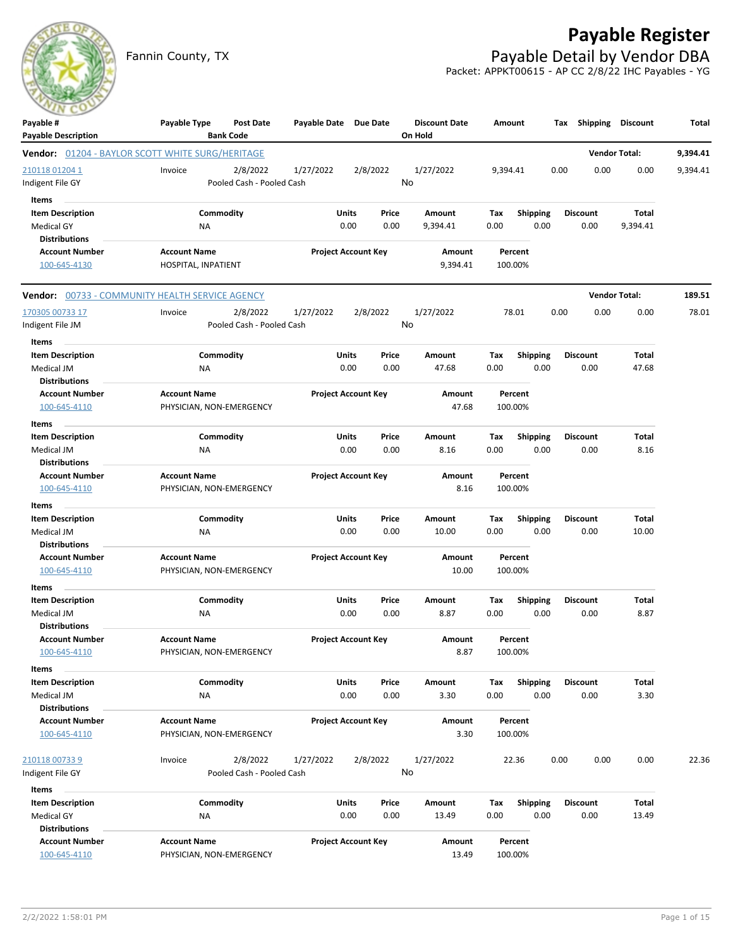# **Payable Register**

Fannin County, TX **Payable Detail by Vendor DBA** Packet: APPKT00615 - AP CC 2/8/22 IHC Payables - YG



| <b>Payable Description</b><br><b>Bank Code</b><br>On Hold<br><b>Vendor Total:</b><br><b>Vendor:</b> 01204 - BAYLOR SCOTT WHITE SURG/HERITAGE<br>210118 01204 1<br>Invoice<br>2/8/2022<br>1/27/2022<br>2/8/2022<br>1/27/2022<br>0.00<br>0.00<br>0.00<br>9,394.41<br>No<br>Indigent File GY<br>Pooled Cash - Pooled Cash<br>Items<br><b>Item Description</b><br>Commodity<br>Units<br>Price<br>Total<br>Amount<br>Tax<br><b>Shipping</b><br><b>Discount</b><br>0.00<br>0.00<br><b>Medical GY</b><br>NA<br>0.00<br>9,394.41<br>0.00<br>0.00<br>9,394.41<br><b>Distributions</b><br><b>Account Number</b><br><b>Account Name</b><br><b>Project Account Key</b><br>Amount<br>Percent<br>9,394.41<br>100.00%<br>100-645-4130<br>HOSPITAL, INPATIENT<br><b>Vendor Total:</b><br><b>Vendor: 00733 - COMMUNITY HEALTH SERVICE AGENCY</b><br>2/8/2022<br>1/27/2022<br>2/8/2022<br>1/27/2022<br>78.01<br>0.00<br>0.00<br>170305 00733 17<br>Invoice<br>0.00<br>No<br>Pooled Cash - Pooled Cash<br>Indigent File JM<br>Items<br><b>Item Description</b><br>Commodity<br>Units<br>Price<br><b>Total</b><br>Amount<br>Tax<br><b>Shipping</b><br><b>Discount</b><br>Medical JM<br>0.00<br>0.00<br>47.68<br>0.00<br>0.00<br>0.00<br>47.68<br>ΝA<br><b>Distributions</b><br><b>Account Name</b><br><b>Project Account Key</b><br><b>Account Number</b><br><b>Amount</b><br>Percent | 9,394.41<br>9,394.41<br>189.51<br>78.01 |
|-------------------------------------------------------------------------------------------------------------------------------------------------------------------------------------------------------------------------------------------------------------------------------------------------------------------------------------------------------------------------------------------------------------------------------------------------------------------------------------------------------------------------------------------------------------------------------------------------------------------------------------------------------------------------------------------------------------------------------------------------------------------------------------------------------------------------------------------------------------------------------------------------------------------------------------------------------------------------------------------------------------------------------------------------------------------------------------------------------------------------------------------------------------------------------------------------------------------------------------------------------------------------------------------------------------------------------------------------------------------|-----------------------------------------|
|                                                                                                                                                                                                                                                                                                                                                                                                                                                                                                                                                                                                                                                                                                                                                                                                                                                                                                                                                                                                                                                                                                                                                                                                                                                                                                                                                                   |                                         |
|                                                                                                                                                                                                                                                                                                                                                                                                                                                                                                                                                                                                                                                                                                                                                                                                                                                                                                                                                                                                                                                                                                                                                                                                                                                                                                                                                                   |                                         |
|                                                                                                                                                                                                                                                                                                                                                                                                                                                                                                                                                                                                                                                                                                                                                                                                                                                                                                                                                                                                                                                                                                                                                                                                                                                                                                                                                                   |                                         |
|                                                                                                                                                                                                                                                                                                                                                                                                                                                                                                                                                                                                                                                                                                                                                                                                                                                                                                                                                                                                                                                                                                                                                                                                                                                                                                                                                                   |                                         |
|                                                                                                                                                                                                                                                                                                                                                                                                                                                                                                                                                                                                                                                                                                                                                                                                                                                                                                                                                                                                                                                                                                                                                                                                                                                                                                                                                                   |                                         |
|                                                                                                                                                                                                                                                                                                                                                                                                                                                                                                                                                                                                                                                                                                                                                                                                                                                                                                                                                                                                                                                                                                                                                                                                                                                                                                                                                                   |                                         |
|                                                                                                                                                                                                                                                                                                                                                                                                                                                                                                                                                                                                                                                                                                                                                                                                                                                                                                                                                                                                                                                                                                                                                                                                                                                                                                                                                                   |                                         |
|                                                                                                                                                                                                                                                                                                                                                                                                                                                                                                                                                                                                                                                                                                                                                                                                                                                                                                                                                                                                                                                                                                                                                                                                                                                                                                                                                                   |                                         |
|                                                                                                                                                                                                                                                                                                                                                                                                                                                                                                                                                                                                                                                                                                                                                                                                                                                                                                                                                                                                                                                                                                                                                                                                                                                                                                                                                                   |                                         |
|                                                                                                                                                                                                                                                                                                                                                                                                                                                                                                                                                                                                                                                                                                                                                                                                                                                                                                                                                                                                                                                                                                                                                                                                                                                                                                                                                                   |                                         |
|                                                                                                                                                                                                                                                                                                                                                                                                                                                                                                                                                                                                                                                                                                                                                                                                                                                                                                                                                                                                                                                                                                                                                                                                                                                                                                                                                                   |                                         |
|                                                                                                                                                                                                                                                                                                                                                                                                                                                                                                                                                                                                                                                                                                                                                                                                                                                                                                                                                                                                                                                                                                                                                                                                                                                                                                                                                                   |                                         |
|                                                                                                                                                                                                                                                                                                                                                                                                                                                                                                                                                                                                                                                                                                                                                                                                                                                                                                                                                                                                                                                                                                                                                                                                                                                                                                                                                                   |                                         |
|                                                                                                                                                                                                                                                                                                                                                                                                                                                                                                                                                                                                                                                                                                                                                                                                                                                                                                                                                                                                                                                                                                                                                                                                                                                                                                                                                                   |                                         |
|                                                                                                                                                                                                                                                                                                                                                                                                                                                                                                                                                                                                                                                                                                                                                                                                                                                                                                                                                                                                                                                                                                                                                                                                                                                                                                                                                                   |                                         |
|                                                                                                                                                                                                                                                                                                                                                                                                                                                                                                                                                                                                                                                                                                                                                                                                                                                                                                                                                                                                                                                                                                                                                                                                                                                                                                                                                                   |                                         |
|                                                                                                                                                                                                                                                                                                                                                                                                                                                                                                                                                                                                                                                                                                                                                                                                                                                                                                                                                                                                                                                                                                                                                                                                                                                                                                                                                                   |                                         |
|                                                                                                                                                                                                                                                                                                                                                                                                                                                                                                                                                                                                                                                                                                                                                                                                                                                                                                                                                                                                                                                                                                                                                                                                                                                                                                                                                                   |                                         |
| 100-645-4110<br>PHYSICIAN, NON-EMERGENCY<br>47.68<br>100.00%                                                                                                                                                                                                                                                                                                                                                                                                                                                                                                                                                                                                                                                                                                                                                                                                                                                                                                                                                                                                                                                                                                                                                                                                                                                                                                      |                                         |
| Items                                                                                                                                                                                                                                                                                                                                                                                                                                                                                                                                                                                                                                                                                                                                                                                                                                                                                                                                                                                                                                                                                                                                                                                                                                                                                                                                                             |                                         |
| Commodity<br>Units<br>Price<br>Tax<br>Total<br><b>Item Description</b><br>Amount<br><b>Shipping</b><br><b>Discount</b>                                                                                                                                                                                                                                                                                                                                                                                                                                                                                                                                                                                                                                                                                                                                                                                                                                                                                                                                                                                                                                                                                                                                                                                                                                            |                                         |
| 0.00<br>Medical JM<br>NA<br>0.00<br>0.00<br>8.16<br>0.00<br>0.00<br>8.16                                                                                                                                                                                                                                                                                                                                                                                                                                                                                                                                                                                                                                                                                                                                                                                                                                                                                                                                                                                                                                                                                                                                                                                                                                                                                          |                                         |
| <b>Distributions</b>                                                                                                                                                                                                                                                                                                                                                                                                                                                                                                                                                                                                                                                                                                                                                                                                                                                                                                                                                                                                                                                                                                                                                                                                                                                                                                                                              |                                         |
| <b>Project Account Key</b><br><b>Account Number</b><br><b>Account Name</b><br>Amount<br>Percent                                                                                                                                                                                                                                                                                                                                                                                                                                                                                                                                                                                                                                                                                                                                                                                                                                                                                                                                                                                                                                                                                                                                                                                                                                                                   |                                         |
| 100-645-4110<br>PHYSICIAN, NON-EMERGENCY<br>8.16<br>100.00%                                                                                                                                                                                                                                                                                                                                                                                                                                                                                                                                                                                                                                                                                                                                                                                                                                                                                                                                                                                                                                                                                                                                                                                                                                                                                                       |                                         |
| <b>Items</b>                                                                                                                                                                                                                                                                                                                                                                                                                                                                                                                                                                                                                                                                                                                                                                                                                                                                                                                                                                                                                                                                                                                                                                                                                                                                                                                                                      |                                         |
| Commodity<br><b>Item Description</b><br>Units<br>Price<br>Amount<br>Tax<br><b>Shipping</b><br><b>Discount</b><br>Total                                                                                                                                                                                                                                                                                                                                                                                                                                                                                                                                                                                                                                                                                                                                                                                                                                                                                                                                                                                                                                                                                                                                                                                                                                            |                                         |
| Medical JM<br>NA<br>0.00<br>0.00<br>10.00<br>0.00<br>0.00<br>0.00<br>10.00                                                                                                                                                                                                                                                                                                                                                                                                                                                                                                                                                                                                                                                                                                                                                                                                                                                                                                                                                                                                                                                                                                                                                                                                                                                                                        |                                         |
| <b>Distributions</b>                                                                                                                                                                                                                                                                                                                                                                                                                                                                                                                                                                                                                                                                                                                                                                                                                                                                                                                                                                                                                                                                                                                                                                                                                                                                                                                                              |                                         |
| <b>Project Account Key</b><br><b>Account Number</b><br><b>Account Name</b><br>Amount<br>Percent                                                                                                                                                                                                                                                                                                                                                                                                                                                                                                                                                                                                                                                                                                                                                                                                                                                                                                                                                                                                                                                                                                                                                                                                                                                                   |                                         |
| PHYSICIAN, NON-EMERGENCY<br>10.00<br>100.00%<br>100-645-4110                                                                                                                                                                                                                                                                                                                                                                                                                                                                                                                                                                                                                                                                                                                                                                                                                                                                                                                                                                                                                                                                                                                                                                                                                                                                                                      |                                         |
| Items                                                                                                                                                                                                                                                                                                                                                                                                                                                                                                                                                                                                                                                                                                                                                                                                                                                                                                                                                                                                                                                                                                                                                                                                                                                                                                                                                             |                                         |
| Commodity<br>Units<br><b>Item Description</b><br>Price<br><b>Shipping</b><br><b>Discount</b><br>Total<br>Amount<br>Тах                                                                                                                                                                                                                                                                                                                                                                                                                                                                                                                                                                                                                                                                                                                                                                                                                                                                                                                                                                                                                                                                                                                                                                                                                                            |                                         |
| 8.87<br>0.00<br>8.87<br>Medical JM<br>NA<br>0.00<br>0.00<br>0.00<br>0.00                                                                                                                                                                                                                                                                                                                                                                                                                                                                                                                                                                                                                                                                                                                                                                                                                                                                                                                                                                                                                                                                                                                                                                                                                                                                                          |                                         |
| <b>Distributions</b>                                                                                                                                                                                                                                                                                                                                                                                                                                                                                                                                                                                                                                                                                                                                                                                                                                                                                                                                                                                                                                                                                                                                                                                                                                                                                                                                              |                                         |
| <b>Account Number</b><br><b>Account Name</b><br><b>Project Account Key</b><br>Amount<br>Percent                                                                                                                                                                                                                                                                                                                                                                                                                                                                                                                                                                                                                                                                                                                                                                                                                                                                                                                                                                                                                                                                                                                                                                                                                                                                   |                                         |
| 100-645-4110<br>8.87<br>100.00%<br>PHYSICIAN, NON-EMERGENCY                                                                                                                                                                                                                                                                                                                                                                                                                                                                                                                                                                                                                                                                                                                                                                                                                                                                                                                                                                                                                                                                                                                                                                                                                                                                                                       |                                         |
| Items                                                                                                                                                                                                                                                                                                                                                                                                                                                                                                                                                                                                                                                                                                                                                                                                                                                                                                                                                                                                                                                                                                                                                                                                                                                                                                                                                             |                                         |
| Commodity<br>Units<br><b>Item Description</b><br>Price<br>Amount<br><b>Shipping</b><br><b>Discount</b><br>Total<br>Tax                                                                                                                                                                                                                                                                                                                                                                                                                                                                                                                                                                                                                                                                                                                                                                                                                                                                                                                                                                                                                                                                                                                                                                                                                                            |                                         |
| 0.00<br>0.00<br>0.00<br>3.30<br>0.00<br>3.30<br>0.00<br>Medical JM<br>NA                                                                                                                                                                                                                                                                                                                                                                                                                                                                                                                                                                                                                                                                                                                                                                                                                                                                                                                                                                                                                                                                                                                                                                                                                                                                                          |                                         |
| <b>Distributions</b>                                                                                                                                                                                                                                                                                                                                                                                                                                                                                                                                                                                                                                                                                                                                                                                                                                                                                                                                                                                                                                                                                                                                                                                                                                                                                                                                              |                                         |
| <b>Project Account Key</b><br><b>Account Number</b><br><b>Account Name</b><br><b>Amount</b><br>Percent                                                                                                                                                                                                                                                                                                                                                                                                                                                                                                                                                                                                                                                                                                                                                                                                                                                                                                                                                                                                                                                                                                                                                                                                                                                            |                                         |
| 100-645-4110<br>3.30<br>100.00%<br>PHYSICIAN, NON-EMERGENCY                                                                                                                                                                                                                                                                                                                                                                                                                                                                                                                                                                                                                                                                                                                                                                                                                                                                                                                                                                                                                                                                                                                                                                                                                                                                                                       |                                         |
| 2/8/2022<br>1/27/2022<br>22.36<br>0.00<br>0.00<br>0.00<br>210118 00733 9<br>2/8/2022<br>1/27/2022<br>Invoice                                                                                                                                                                                                                                                                                                                                                                                                                                                                                                                                                                                                                                                                                                                                                                                                                                                                                                                                                                                                                                                                                                                                                                                                                                                      | 22.36                                   |
| No<br>Pooled Cash - Pooled Cash<br>Indigent File GY                                                                                                                                                                                                                                                                                                                                                                                                                                                                                                                                                                                                                                                                                                                                                                                                                                                                                                                                                                                                                                                                                                                                                                                                                                                                                                               |                                         |
| Items                                                                                                                                                                                                                                                                                                                                                                                                                                                                                                                                                                                                                                                                                                                                                                                                                                                                                                                                                                                                                                                                                                                                                                                                                                                                                                                                                             |                                         |
| <b>Item Description</b><br>Commodity<br>Units<br>Price<br>Tax<br><b>Shipping</b><br><b>Discount</b><br>Total<br>Amount                                                                                                                                                                                                                                                                                                                                                                                                                                                                                                                                                                                                                                                                                                                                                                                                                                                                                                                                                                                                                                                                                                                                                                                                                                            |                                         |
| <b>Medical GY</b><br>0.00<br>0.00<br>0.00<br><b>NA</b><br>0.00<br>13.49<br>0.00<br>13.49                                                                                                                                                                                                                                                                                                                                                                                                                                                                                                                                                                                                                                                                                                                                                                                                                                                                                                                                                                                                                                                                                                                                                                                                                                                                          |                                         |
| <b>Distributions</b>                                                                                                                                                                                                                                                                                                                                                                                                                                                                                                                                                                                                                                                                                                                                                                                                                                                                                                                                                                                                                                                                                                                                                                                                                                                                                                                                              |                                         |
| <b>Account Number</b><br><b>Account Name</b><br><b>Project Account Key</b><br>Amount<br>Percent                                                                                                                                                                                                                                                                                                                                                                                                                                                                                                                                                                                                                                                                                                                                                                                                                                                                                                                                                                                                                                                                                                                                                                                                                                                                   |                                         |
| 100-645-4110<br>PHYSICIAN, NON-EMERGENCY<br>13.49<br>100.00%                                                                                                                                                                                                                                                                                                                                                                                                                                                                                                                                                                                                                                                                                                                                                                                                                                                                                                                                                                                                                                                                                                                                                                                                                                                                                                      |                                         |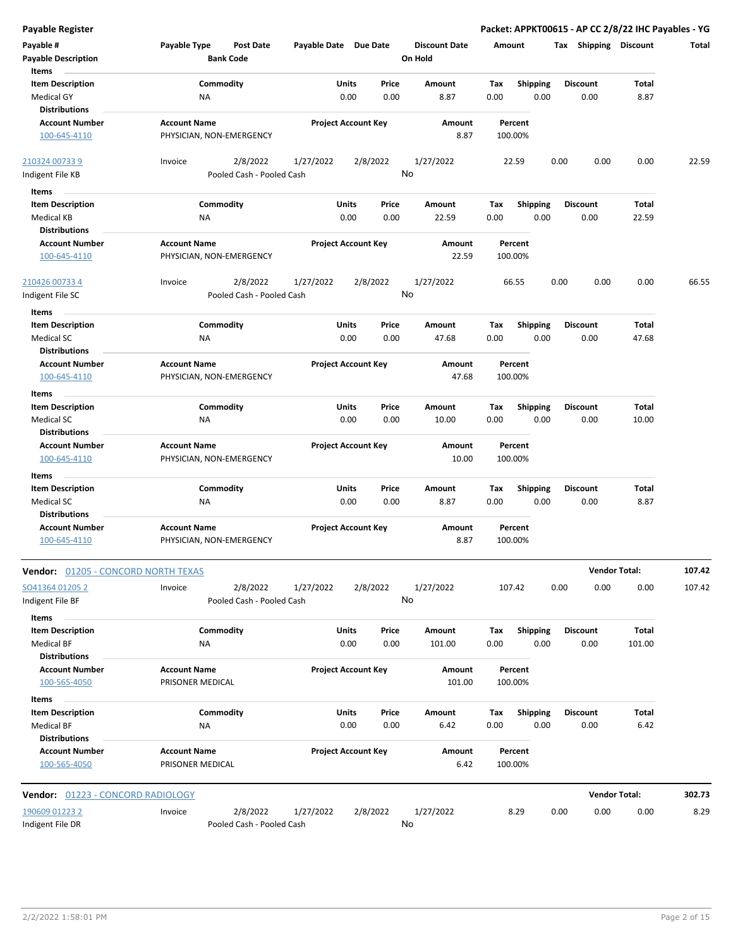| <b>Payable Register</b>                    |                           |                       |                            |                      |         |                 | Packet: APPKT00615 - AP CC 2/8/22 IHC Payables - YG |                      |        |
|--------------------------------------------|---------------------------|-----------------------|----------------------------|----------------------|---------|-----------------|-----------------------------------------------------|----------------------|--------|
| Payable #                                  | Payable Type<br>Post Date | Payable Date Due Date |                            | <b>Discount Date</b> | Amount  |                 | Tax Shipping Discount                               |                      | Total  |
| <b>Payable Description</b>                 | <b>Bank Code</b>          |                       |                            | On Hold              |         |                 |                                                     |                      |        |
| Items                                      |                           |                       |                            |                      |         |                 |                                                     |                      |        |
| <b>Item Description</b>                    | Commodity                 |                       | Units<br>Price             | Amount               | Tax     | Shipping        | <b>Discount</b>                                     | Total                |        |
| <b>Medical GY</b>                          | <b>NA</b>                 |                       | 0.00<br>0.00               | 8.87                 | 0.00    | 0.00            | 0.00                                                | 8.87                 |        |
| <b>Distributions</b>                       |                           |                       |                            |                      |         |                 |                                                     |                      |        |
| <b>Account Number</b>                      | <b>Account Name</b>       |                       | <b>Project Account Key</b> | Amount               | Percent |                 |                                                     |                      |        |
| 100-645-4110                               | PHYSICIAN, NON-EMERGENCY  |                       |                            | 8.87                 | 100.00% |                 |                                                     |                      |        |
|                                            |                           |                       |                            |                      |         |                 |                                                     |                      |        |
| 210324 00733 9                             | 2/8/2022<br>Invoice       | 1/27/2022             | 2/8/2022                   | 1/27/2022            | 22.59   |                 | 0.00<br>0.00                                        | 0.00                 | 22.59  |
| Indigent File KB                           | Pooled Cash - Pooled Cash |                       |                            | No                   |         |                 |                                                     |                      |        |
|                                            |                           |                       |                            |                      |         |                 |                                                     |                      |        |
| Items                                      |                           |                       |                            |                      |         |                 |                                                     |                      |        |
| <b>Item Description</b>                    | Commodity                 |                       | Units<br>Price             | Amount               | Tax     | <b>Shipping</b> | <b>Discount</b>                                     | Total                |        |
| Medical KB                                 | NA                        |                       | 0.00<br>0.00               | 22.59                | 0.00    | 0.00            | 0.00                                                | 22.59                |        |
| <b>Distributions</b>                       |                           |                       |                            |                      |         |                 |                                                     |                      |        |
| <b>Account Number</b>                      | <b>Account Name</b>       |                       | <b>Project Account Key</b> | Amount               | Percent |                 |                                                     |                      |        |
| 100-645-4110                               | PHYSICIAN, NON-EMERGENCY  |                       |                            | 22.59                | 100.00% |                 |                                                     |                      |        |
| 210426 00733 4                             | 2/8/2022<br>Invoice       | 1/27/2022             | 2/8/2022                   | 1/27/2022            | 66.55   |                 | 0.00<br>0.00                                        | 0.00                 | 66.55  |
| Indigent File SC                           | Pooled Cash - Pooled Cash |                       |                            | No                   |         |                 |                                                     |                      |        |
| Items                                      |                           |                       |                            |                      |         |                 |                                                     |                      |        |
| <b>Item Description</b>                    | Commodity                 |                       | Units<br>Price             | Amount               | Tax     | <b>Shipping</b> | <b>Discount</b>                                     | Total                |        |
| <b>Medical SC</b>                          | <b>NA</b>                 |                       | 0.00<br>0.00               | 47.68                | 0.00    | 0.00            | 0.00                                                | 47.68                |        |
| <b>Distributions</b>                       |                           |                       |                            |                      |         |                 |                                                     |                      |        |
| <b>Account Number</b>                      | <b>Account Name</b>       |                       | <b>Project Account Key</b> | Amount               | Percent |                 |                                                     |                      |        |
|                                            |                           |                       |                            |                      |         |                 |                                                     |                      |        |
| 100-645-4110                               | PHYSICIAN, NON-EMERGENCY  |                       |                            | 47.68                | 100.00% |                 |                                                     |                      |        |
| Items                                      |                           |                       |                            |                      |         |                 |                                                     |                      |        |
| <b>Item Description</b>                    | Commodity                 |                       | Units<br>Price             | Amount               | Tax     | <b>Shipping</b> | <b>Discount</b>                                     | Total                |        |
| Medical SC                                 | <b>NA</b>                 |                       | 0.00<br>0.00               | 10.00                | 0.00    | 0.00            | 0.00                                                | 10.00                |        |
| <b>Distributions</b>                       |                           |                       |                            |                      |         |                 |                                                     |                      |        |
| <b>Account Number</b>                      | <b>Account Name</b>       |                       | <b>Project Account Key</b> | Amount               | Percent |                 |                                                     |                      |        |
| 100-645-4110                               | PHYSICIAN, NON-EMERGENCY  |                       |                            | 10.00                | 100.00% |                 |                                                     |                      |        |
| Items                                      |                           |                       |                            |                      |         |                 |                                                     |                      |        |
| <b>Item Description</b>                    | Commodity                 |                       | Units<br>Price             | Amount               | Tax     | <b>Shipping</b> | <b>Discount</b>                                     | Total                |        |
| <b>Medical SC</b>                          | NA                        |                       | 0.00<br>0.00               | 8.87                 | 0.00    | 0.00            | 0.00                                                | 8.87                 |        |
| <b>Distributions</b>                       |                           |                       |                            |                      |         |                 |                                                     |                      |        |
| <b>Account Number</b>                      | <b>Account Name</b>       |                       | <b>Project Account Key</b> | Amount               | Percent |                 |                                                     |                      |        |
| 100-645-4110                               | PHYSICIAN, NON-EMERGENCY  |                       |                            | 8.87                 | 100.00% |                 |                                                     |                      |        |
|                                            |                           |                       |                            |                      |         |                 |                                                     |                      |        |
| <b>Vendor: 01205 - CONCORD NORTH TEXAS</b> |                           |                       |                            |                      |         |                 |                                                     | <b>Vendor Total:</b> | 107.42 |
| SO41364 01205 2                            | 2/8/2022<br>Invoice       | 1/27/2022             | 2/8/2022                   | 1/27/2022            | 107.42  |                 | 0.00<br>0.00                                        | 0.00                 | 107.42 |
| Indigent File BF                           | Pooled Cash - Pooled Cash |                       |                            | No                   |         |                 |                                                     |                      |        |
|                                            |                           |                       |                            |                      |         |                 |                                                     |                      |        |
| Items                                      |                           |                       |                            |                      |         |                 |                                                     |                      |        |
| <b>Item Description</b>                    | Commodity                 |                       | Units<br>Price             | Amount               | Tax     | Shipping        | <b>Discount</b>                                     | Total                |        |
| <b>Medical BF</b>                          | NA                        |                       | 0.00<br>0.00               | 101.00               | 0.00    | 0.00            | 0.00                                                | 101.00               |        |
| <b>Distributions</b>                       |                           |                       |                            |                      |         |                 |                                                     |                      |        |
| <b>Account Number</b>                      | <b>Account Name</b>       |                       | <b>Project Account Key</b> | Amount               | Percent |                 |                                                     |                      |        |
| 100-565-4050                               | PRISONER MEDICAL          |                       |                            | 101.00               | 100.00% |                 |                                                     |                      |        |
| Items                                      |                           |                       |                            |                      |         |                 |                                                     |                      |        |
| <b>Item Description</b>                    | Commodity                 |                       | Units<br>Price             | Amount               | Tax     | <b>Shipping</b> | <b>Discount</b>                                     | Total                |        |
| Medical BF                                 | <b>NA</b>                 |                       | 0.00<br>0.00               | 6.42                 | 0.00    | 0.00            | 0.00                                                | 6.42                 |        |
| <b>Distributions</b>                       |                           |                       |                            |                      |         |                 |                                                     |                      |        |
| <b>Account Number</b>                      | <b>Account Name</b>       |                       | <b>Project Account Key</b> | Amount               | Percent |                 |                                                     |                      |        |
| 100-565-4050                               | PRISONER MEDICAL          |                       |                            | 6.42                 | 100.00% |                 |                                                     |                      |        |
|                                            |                           |                       |                            |                      |         |                 |                                                     |                      |        |
| Vendor: 01223 - CONCORD RADIOLOGY          |                           |                       |                            |                      |         |                 |                                                     | <b>Vendor Total:</b> | 302.73 |
| 190609 01223 2                             | 2/8/2022<br>Invoice       | 1/27/2022             | 2/8/2022                   | 1/27/2022            | 8.29    |                 | 0.00<br>0.00                                        | 0.00                 | 8.29   |
| Indigent File DR                           | Pooled Cash - Pooled Cash |                       |                            | No                   |         |                 |                                                     |                      |        |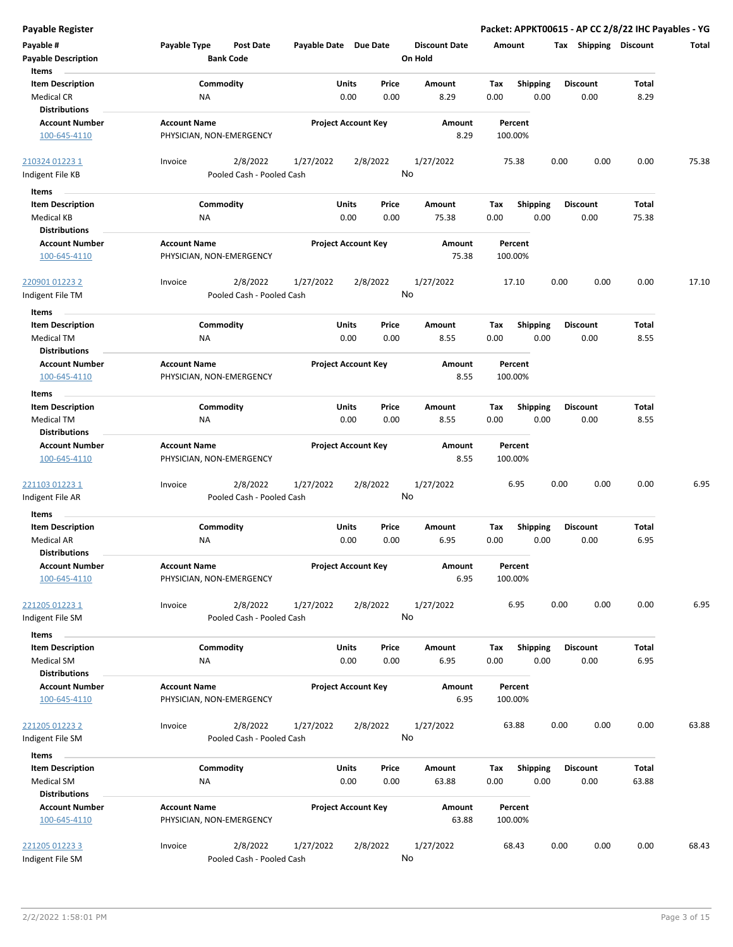| <b>Payable Register</b>                                              |                                                      |                            |                |                                 | Packet: APPKT00615 - AP CC 2/8/22 IHC Payables - YG |      |                         |                |       |
|----------------------------------------------------------------------|------------------------------------------------------|----------------------------|----------------|---------------------------------|-----------------------------------------------------|------|-------------------------|----------------|-------|
| Payable #<br><b>Payable Description</b>                              | Payable Type<br><b>Post Date</b><br><b>Bank Code</b> | Payable Date Due Date      |                | <b>Discount Date</b><br>On Hold | Amount                                              |      | Tax Shipping Discount   |                | Total |
| Items<br><b>Item Description</b><br><b>Medical CR</b>                | Commodity<br>NA                                      | Units<br>0.00              | Price<br>0.00  | Amount<br>8.29                  | Tax<br><b>Shipping</b><br>0.00                      | 0.00 | <b>Discount</b><br>0.00 | Total<br>8.29  |       |
| <b>Distributions</b><br><b>Account Number</b><br>100-645-4110        | <b>Account Name</b><br>PHYSICIAN, NON-EMERGENCY      | <b>Project Account Key</b> |                | Amount<br>8.29                  | Percent<br>100.00%                                  |      |                         |                |       |
| 210324 01223 1<br>Indigent File KB                                   | 2/8/2022<br>Invoice<br>Pooled Cash - Pooled Cash     | 1/27/2022                  | 2/8/2022<br>No | 1/27/2022                       | 75.38                                               | 0.00 | 0.00                    | 0.00           | 75.38 |
| Items                                                                |                                                      |                            |                |                                 |                                                     |      |                         |                |       |
| <b>Item Description</b><br>Medical KB<br><b>Distributions</b>        | Commodity<br>ΝA                                      | Units<br>0.00              | Price<br>0.00  | Amount<br>75.38                 | Tax<br><b>Shipping</b><br>0.00                      | 0.00 | <b>Discount</b><br>0.00 | Total<br>75.38 |       |
| <b>Account Number</b><br>100-645-4110                                | <b>Account Name</b><br>PHYSICIAN, NON-EMERGENCY      | <b>Project Account Key</b> |                | Amount<br>75.38                 | Percent<br>100.00%                                  |      |                         |                |       |
| 220901 01223 2<br>Indigent File TM                                   | 2/8/2022<br>Invoice<br>Pooled Cash - Pooled Cash     | 1/27/2022                  | 2/8/2022<br>No | 1/27/2022                       | 17.10                                               | 0.00 | 0.00                    | 0.00           | 17.10 |
| Items<br><b>Item Description</b><br><b>Medical TM</b>                | Commodity<br>NA                                      | Units<br>0.00              | Price<br>0.00  | Amount<br>8.55                  | Tax<br><b>Shipping</b><br>0.00                      | 0.00 | <b>Discount</b><br>0.00 | Total<br>8.55  |       |
| <b>Distributions</b><br><b>Account Number</b><br>100-645-4110        | <b>Account Name</b><br>PHYSICIAN, NON-EMERGENCY      | <b>Project Account Key</b> |                | <b>Amount</b><br>8.55           | Percent<br>100.00%                                  |      |                         |                |       |
| Items                                                                |                                                      |                            |                |                                 |                                                     |      |                         |                |       |
| <b>Item Description</b><br>Medical TM<br><b>Distributions</b>        | Commodity<br>NA                                      | Units<br>0.00              | Price<br>0.00  | Amount<br>8.55                  | Tax<br><b>Shipping</b><br>0.00                      | 0.00 | <b>Discount</b><br>0.00 | Total<br>8.55  |       |
| <b>Account Number</b><br>100-645-4110                                | <b>Account Name</b><br>PHYSICIAN, NON-EMERGENCY      | <b>Project Account Key</b> |                | Amount<br>8.55                  | Percent<br>100.00%                                  |      |                         |                |       |
| 221103 01223 1<br>Indigent File AR                                   | 2/8/2022<br>Invoice<br>Pooled Cash - Pooled Cash     | 1/27/2022                  | 2/8/2022<br>No | 1/27/2022                       | 6.95                                                | 0.00 | 0.00                    | 0.00           | 6.95  |
| Items                                                                |                                                      |                            |                |                                 |                                                     |      |                         |                |       |
| <b>Item Description</b><br><b>Medical AR</b><br><b>Distributions</b> | Commodity<br>ΝA                                      | <b>Units</b><br>0.00       | Price<br>0.00  | Amount<br>6.95                  | Tax<br><b>Shipping</b><br>0.00                      | 0.00 | <b>Discount</b><br>0.00 | Total<br>6.95  |       |
| <b>Account Number</b><br>100-645-4110                                | <b>Account Name</b><br>PHYSICIAN, NON-EMERGENCY      | <b>Project Account Key</b> |                | Amount<br>6.95                  | Percent<br>100.00%                                  |      |                         |                |       |
| 221205 01223 1<br>Indigent File SM                                   | 2/8/2022<br>Invoice<br>Pooled Cash - Pooled Cash     | 1/27/2022                  | 2/8/2022<br>No | 1/27/2022                       | 6.95                                                | 0.00 | 0.00                    | 0.00           | 6.95  |
| Items                                                                |                                                      |                            |                |                                 |                                                     |      |                         |                |       |
| <b>Item Description</b><br>Medical SM<br><b>Distributions</b>        | Commodity<br>NA                                      | Units<br>0.00              | Price<br>0.00  | Amount<br>6.95                  | <b>Shipping</b><br>Tax<br>0.00                      | 0.00 | <b>Discount</b><br>0.00 | Total<br>6.95  |       |
| <b>Account Number</b><br>100-645-4110                                | <b>Account Name</b><br>PHYSICIAN, NON-EMERGENCY      | <b>Project Account Key</b> |                | Amount<br>6.95                  | Percent<br>100.00%                                  |      |                         |                |       |
| 221205 01223 2<br>Indigent File SM                                   | Invoice<br>2/8/2022<br>Pooled Cash - Pooled Cash     | 1/27/2022                  | 2/8/2022<br>No | 1/27/2022                       | 63.88                                               | 0.00 | 0.00                    | 0.00           | 63.88 |
| Items                                                                |                                                      |                            |                |                                 |                                                     |      |                         |                |       |
| <b>Item Description</b><br>Medical SM<br><b>Distributions</b>        | Commodity<br>NA                                      | Units<br>0.00              | Price<br>0.00  | Amount<br>63.88                 | Tax<br><b>Shipping</b><br>0.00                      | 0.00 | <b>Discount</b><br>0.00 | Total<br>63.88 |       |
| <b>Account Number</b><br>100-645-4110                                | <b>Account Name</b><br>PHYSICIAN, NON-EMERGENCY      | <b>Project Account Key</b> |                | Amount<br>63.88                 | Percent<br>100.00%                                  |      |                         |                |       |
| 221205 01223 3<br>Indigent File SM                                   | 2/8/2022<br>Invoice<br>Pooled Cash - Pooled Cash     | 1/27/2022                  | 2/8/2022<br>No | 1/27/2022                       | 68.43                                               | 0.00 | 0.00                    | 0.00           | 68.43 |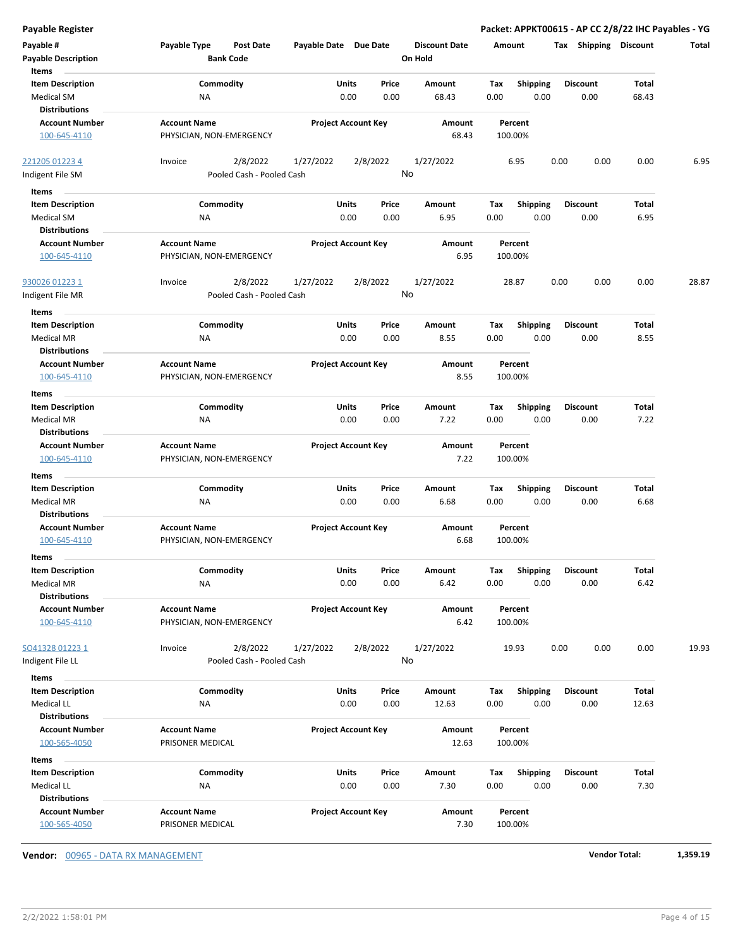| <b>Payable Register</b>               |                                         |                            |          |                      |                    |                 | Packet: APPKT00615 - AP CC 2/8/22 IHC Payables - YG |       |       |
|---------------------------------------|-----------------------------------------|----------------------------|----------|----------------------|--------------------|-----------------|-----------------------------------------------------|-------|-------|
| Payable #                             | Payable Type<br><b>Post Date</b>        | Payable Date Due Date      |          | <b>Discount Date</b> | Amount             |                 | Tax Shipping Discount                               |       | Total |
| <b>Payable Description</b>            | <b>Bank Code</b>                        |                            |          | On Hold              |                    |                 |                                                     |       |       |
| Items                                 |                                         |                            |          |                      |                    |                 |                                                     |       |       |
| <b>Item Description</b>               | Commodity                               | Units                      | Price    | Amount               | Tax                | <b>Shipping</b> | <b>Discount</b>                                     | Total |       |
| Medical SM                            | NA                                      | 0.00                       | 0.00     | 68.43                | 0.00               | 0.00            | 0.00                                                | 68.43 |       |
| <b>Distributions</b>                  |                                         |                            |          |                      |                    |                 |                                                     |       |       |
| <b>Account Number</b>                 | <b>Account Name</b>                     | <b>Project Account Key</b> |          | Amount               | Percent            |                 |                                                     |       |       |
| 100-645-4110                          | PHYSICIAN, NON-EMERGENCY                |                            |          | 68.43                | 100.00%            |                 |                                                     |       |       |
| 221205 01223 4                        | 2/8/2022<br>Invoice                     | 1/27/2022                  | 2/8/2022 | 1/27/2022            | 6.95               |                 | 0.00<br>0.00                                        | 0.00  | 6.95  |
| Indigent File SM                      | Pooled Cash - Pooled Cash               |                            |          | No                   |                    |                 |                                                     |       |       |
| Items                                 |                                         |                            |          |                      |                    |                 |                                                     |       |       |
| <b>Item Description</b>               | Commodity                               | Units                      | Price    | Amount               | Tax                | <b>Shipping</b> | <b>Discount</b>                                     | Total |       |
| Medical SM                            | ΝA                                      | 0.00                       | 0.00     | 6.95                 | 0.00               | 0.00            | 0.00                                                | 6.95  |       |
| <b>Distributions</b>                  |                                         |                            |          |                      |                    |                 |                                                     |       |       |
| <b>Account Number</b>                 | <b>Account Name</b>                     | <b>Project Account Key</b> |          | Amount               | Percent            |                 |                                                     |       |       |
| 100-645-4110                          | PHYSICIAN, NON-EMERGENCY                |                            |          | 6.95                 | 100.00%            |                 |                                                     |       |       |
| 930026 01223 1                        | 2/8/2022<br>Invoice                     | 1/27/2022                  | 2/8/2022 | 1/27/2022            | 28.87              |                 | 0.00<br>0.00                                        | 0.00  | 28.87 |
| Indigent File MR                      | Pooled Cash - Pooled Cash               |                            |          | No                   |                    |                 |                                                     |       |       |
| Items                                 |                                         |                            |          |                      |                    |                 |                                                     |       |       |
| <b>Item Description</b>               | Commodity                               | Units                      | Price    | Amount               | Tax                | <b>Shipping</b> | <b>Discount</b>                                     | Total |       |
| <b>Medical MR</b>                     | NA                                      | 0.00                       | 0.00     | 8.55                 | 0.00               | 0.00            | 0.00                                                | 8.55  |       |
| <b>Distributions</b>                  |                                         |                            |          |                      |                    |                 |                                                     |       |       |
| <b>Account Number</b>                 | <b>Account Name</b>                     | <b>Project Account Key</b> |          | Amount               | Percent            |                 |                                                     |       |       |
| 100-645-4110                          | PHYSICIAN, NON-EMERGENCY                |                            |          | 8.55                 | 100.00%            |                 |                                                     |       |       |
| Items                                 |                                         |                            |          |                      |                    |                 |                                                     |       |       |
| <b>Item Description</b>               | Commodity                               | Units                      | Price    | Amount               | Tax                | <b>Shipping</b> | <b>Discount</b>                                     | Total |       |
| <b>Medical MR</b>                     | NA                                      | 0.00                       | 0.00     | 7.22                 | 0.00               | 0.00            | 0.00                                                | 7.22  |       |
| <b>Distributions</b>                  |                                         |                            |          |                      |                    |                 |                                                     |       |       |
| <b>Account Number</b>                 | <b>Account Name</b>                     | <b>Project Account Key</b> |          | Amount               | Percent            |                 |                                                     |       |       |
| 100-645-4110                          | PHYSICIAN, NON-EMERGENCY                |                            |          | 7.22                 | 100.00%            |                 |                                                     |       |       |
| Items                                 |                                         |                            |          |                      |                    |                 |                                                     |       |       |
| <b>Item Description</b>               | Commodity                               | Units                      | Price    | Amount               | Tax                | <b>Shipping</b> | <b>Discount</b>                                     | Total |       |
| <b>Medical MR</b>                     | ΝA                                      | 0.00                       | 0.00     | 6.68                 | 0.00               | 0.00            | 0.00                                                | 6.68  |       |
| <b>Distributions</b>                  |                                         |                            |          |                      |                    |                 |                                                     |       |       |
| <b>Account Number</b>                 | <b>Account Name</b>                     | <b>Project Account Key</b> |          | Amount               | Percent            |                 |                                                     |       |       |
| 100-645-4110                          | PHYSICIAN, NON-EMERGENCY                |                            |          | 6.68                 | 100.00%            |                 |                                                     |       |       |
| ltems                                 |                                         |                            |          |                      |                    |                 |                                                     |       |       |
| <b>Item Description</b>               | Commodity                               | Units                      | Price    | Amount               | Tax                | <b>Shipping</b> | <b>Discount</b>                                     | Total |       |
| Medical MR                            | NA                                      | 0.00                       | 0.00     | 6.42                 | 0.00               | 0.00            | 0.00                                                | 6.42  |       |
| <b>Distributions</b>                  |                                         |                            |          |                      |                    |                 |                                                     |       |       |
| <b>Account Number</b>                 | <b>Account Name</b>                     | <b>Project Account Key</b> |          | Amount               | Percent            |                 |                                                     |       |       |
| 100-645-4110                          | PHYSICIAN, NON-EMERGENCY                |                            |          | 6.42                 | 100.00%            |                 |                                                     |       |       |
| SO41328 01223 1                       | 2/8/2022<br>Invoice                     | 1/27/2022                  | 2/8/2022 | 1/27/2022            | 19.93              |                 | 0.00<br>0.00                                        | 0.00  | 19.93 |
| Indigent File LL                      | Pooled Cash - Pooled Cash               |                            |          | No                   |                    |                 |                                                     |       |       |
| Items                                 |                                         |                            |          |                      |                    |                 |                                                     |       |       |
| <b>Item Description</b>               | Commodity                               | Units                      | Price    | Amount               | Tax                | Shipping        | <b>Discount</b>                                     | Total |       |
| Medical LL                            | NA                                      | 0.00                       | 0.00     | 12.63                | 0.00               | 0.00            | 0.00                                                | 12.63 |       |
| <b>Distributions</b>                  |                                         |                            |          |                      |                    |                 |                                                     |       |       |
| <b>Account Number</b>                 | <b>Account Name</b>                     | <b>Project Account Key</b> |          | Amount               | Percent            |                 |                                                     |       |       |
| 100-565-4050                          | PRISONER MEDICAL                        |                            |          | 12.63                | 100.00%            |                 |                                                     |       |       |
| Items                                 |                                         |                            |          |                      |                    |                 |                                                     |       |       |
| <b>Item Description</b>               | Commodity                               | Units                      | Price    | Amount               | Tax                | <b>Shipping</b> | <b>Discount</b>                                     | Total |       |
| Medical LL                            | NA                                      | 0.00                       | 0.00     | 7.30                 | 0.00               | 0.00            | 0.00                                                | 7.30  |       |
| <b>Distributions</b>                  |                                         |                            |          |                      |                    |                 |                                                     |       |       |
| <b>Account Number</b><br>100-565-4050 | <b>Account Name</b><br>PRISONER MEDICAL | <b>Project Account Key</b> |          | Amount<br>7.30       | Percent<br>100.00% |                 |                                                     |       |       |
|                                       |                                         |                            |          |                      |                    |                 |                                                     |       |       |

**Vendor:** 00965 - DATA RX MANAGEMENT **Vendor Total: 1,359.19**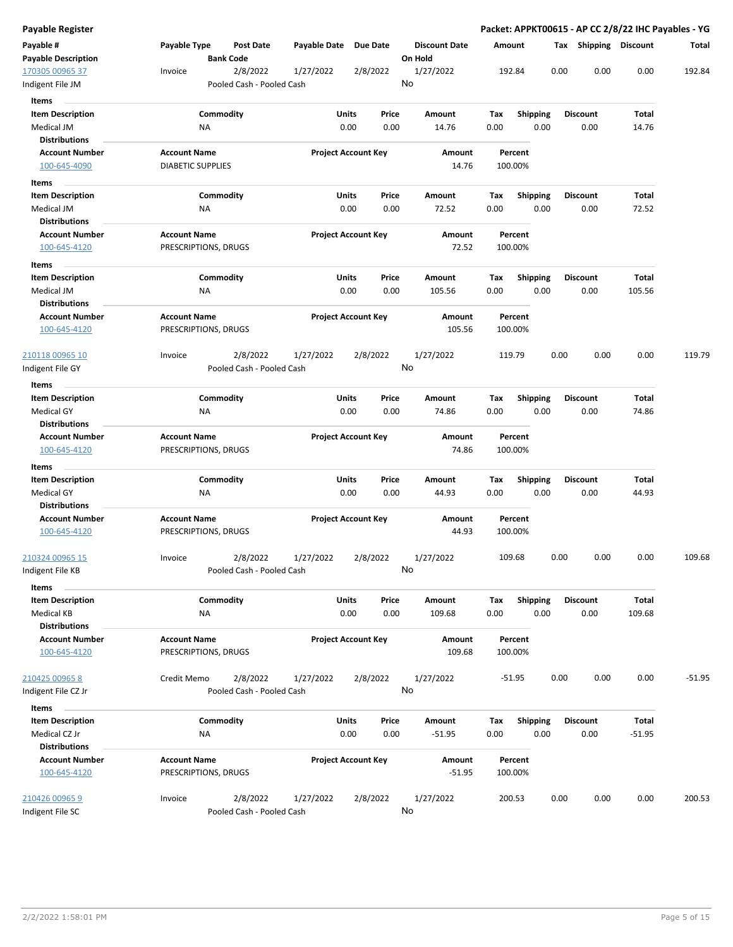| Payable Register                 |                                                      |                       |                            |                                 | Packet: APPKT00615 - AP CC 2/8/22 IHC Payables - YG |      |                       |          |          |
|----------------------------------|------------------------------------------------------|-----------------------|----------------------------|---------------------------------|-----------------------------------------------------|------|-----------------------|----------|----------|
| Payable #<br>Payable Description | Payable Type<br><b>Post Date</b><br><b>Bank Code</b> | Payable Date Due Date |                            | <b>Discount Date</b><br>On Hold | Amount                                              |      | Tax Shipping Discount |          | Total    |
| 170305 00965 37                  | 2/8/2022<br>Invoice                                  | 1/27/2022             | 2/8/2022                   | 1/27/2022                       | 192.84                                              | 0.00 | 0.00                  | 0.00     | 192.84   |
| Indigent File JM                 | Pooled Cash - Pooled Cash                            |                       |                            | No                              |                                                     |      |                       |          |          |
| Items                            |                                                      |                       |                            |                                 |                                                     |      |                       |          |          |
| <b>Item Description</b>          | Commodity                                            | Units                 | Price                      | Amount                          | <b>Shipping</b><br>Tax                              |      | <b>Discount</b>       | Total    |          |
| Medical JM                       | ΝA                                                   |                       | 0.00<br>0.00               | 14.76                           | 0.00                                                | 0.00 | 0.00                  | 14.76    |          |
| <b>Distributions</b>             |                                                      |                       |                            |                                 |                                                     |      |                       |          |          |
| <b>Account Number</b>            | <b>Account Name</b>                                  |                       | <b>Project Account Key</b> | Amount                          | Percent                                             |      |                       |          |          |
| 100-645-4090                     | <b>DIABETIC SUPPLIES</b>                             |                       |                            | 14.76                           | 100.00%                                             |      |                       |          |          |
| Items                            |                                                      |                       |                            |                                 |                                                     |      |                       |          |          |
| <b>Item Description</b>          | Commodity                                            | Units                 | Price                      | Amount                          | Tax<br><b>Shipping</b>                              |      | <b>Discount</b>       | Total    |          |
| Medical JM                       | ΝA                                                   |                       | 0.00<br>0.00               | 72.52                           | 0.00                                                | 0.00 | 0.00                  | 72.52    |          |
| <b>Distributions</b>             |                                                      |                       |                            |                                 |                                                     |      |                       |          |          |
| <b>Account Number</b>            | <b>Account Name</b>                                  |                       | <b>Project Account Key</b> | Amount                          | Percent                                             |      |                       |          |          |
| 100-645-4120                     | PRESCRIPTIONS, DRUGS                                 |                       |                            | 72.52                           | 100.00%                                             |      |                       |          |          |
| Items                            |                                                      |                       |                            |                                 |                                                     |      |                       |          |          |
| <b>Item Description</b>          | Commodity                                            | Units                 | Price                      | Amount                          | Shipping<br>Tax                                     |      | <b>Discount</b>       | Total    |          |
| Medical JM                       | NA                                                   |                       | 0.00<br>0.00               | 105.56                          | 0.00                                                | 0.00 | 0.00                  | 105.56   |          |
| Distributions                    |                                                      |                       |                            |                                 |                                                     |      |                       |          |          |
| <b>Account Number</b>            | <b>Account Name</b>                                  |                       | <b>Project Account Key</b> | Amount                          | Percent                                             |      |                       |          |          |
| 100-645-4120                     | PRESCRIPTIONS, DRUGS                                 |                       |                            | 105.56                          | 100.00%                                             |      |                       |          |          |
| 210118 00965 10                  | 2/8/2022<br>Invoice                                  | 1/27/2022             | 2/8/2022                   | 1/27/2022                       | 119.79                                              | 0.00 | 0.00                  | 0.00     | 119.79   |
| Indigent File GY                 | Pooled Cash - Pooled Cash                            |                       |                            | No                              |                                                     |      |                       |          |          |
| Items                            |                                                      |                       |                            |                                 |                                                     |      |                       |          |          |
| <b>Item Description</b>          | Commodity                                            | Units                 | Price                      | Amount                          | Tax<br><b>Shipping</b>                              |      | <b>Discount</b>       | Total    |          |
| <b>Medical GY</b>                | ΝA                                                   |                       | 0.00<br>0.00               | 74.86                           | 0.00                                                | 0.00 | 0.00                  | 74.86    |          |
| <b>Distributions</b>             |                                                      |                       |                            |                                 |                                                     |      |                       |          |          |
| <b>Account Number</b>            | <b>Account Name</b>                                  |                       | <b>Project Account Key</b> | Amount                          | Percent                                             |      |                       |          |          |
| 100-645-4120                     | PRESCRIPTIONS, DRUGS                                 |                       |                            | 74.86                           | 100.00%                                             |      |                       |          |          |
| Items                            |                                                      |                       |                            |                                 |                                                     |      |                       |          |          |
| <b>Item Description</b>          | Commodity                                            | Units                 | Price                      | Amount                          | <b>Shipping</b><br>Tax                              |      | <b>Discount</b>       | Total    |          |
| <b>Medical GY</b>                | ΝA                                                   |                       | 0.00<br>0.00               | 44.93                           | 0.00                                                | 0.00 | 0.00                  | 44.93    |          |
| <b>Distributions</b>             |                                                      |                       |                            |                                 |                                                     |      |                       |          |          |
| <b>Account Number</b>            | <b>Account Name</b>                                  |                       | <b>Project Account Key</b> | Amount                          | Percent                                             |      |                       |          |          |
| 100-645-4120                     | PRESCRIPTIONS, DRUGS                                 |                       |                            | 44.93                           | 100.00%                                             |      |                       |          |          |
| 210324 00965 15                  | 2/8/2022<br>Invoice                                  | 1/27/2022             | 2/8/2022                   | 1/27/2022                       | 109.68                                              | 0.00 | 0.00                  | 0.00     | 109.68   |
| Indigent File KB                 | Pooled Cash - Pooled Cash                            |                       |                            | No                              |                                                     |      |                       |          |          |
| Items                            |                                                      |                       |                            |                                 |                                                     |      |                       |          |          |
| <b>Item Description</b>          | Commodity                                            | <b>Units</b>          | Price                      | Amount                          | <b>Shipping</b><br>Tax                              |      | <b>Discount</b>       | Total    |          |
| Medical KB                       | NA                                                   |                       | 0.00<br>0.00               | 109.68                          | 0.00                                                | 0.00 | 0.00                  | 109.68   |          |
| <b>Distributions</b>             |                                                      |                       |                            |                                 |                                                     |      |                       |          |          |
| <b>Account Number</b>            | <b>Account Name</b>                                  |                       | <b>Project Account Key</b> | Amount                          | Percent                                             |      |                       |          |          |
| 100-645-4120                     | PRESCRIPTIONS, DRUGS                                 |                       |                            | 109.68                          | 100.00%                                             |      |                       |          |          |
| 210425 00965 8                   | Credit Memo<br>2/8/2022                              | 1/27/2022             | 2/8/2022                   | 1/27/2022                       | $-51.95$                                            | 0.00 | 0.00                  | 0.00     | $-51.95$ |
| Indigent File CZ Jr              | Pooled Cash - Pooled Cash                            |                       |                            | No                              |                                                     |      |                       |          |          |
|                                  |                                                      |                       |                            |                                 |                                                     |      |                       |          |          |
| Items                            |                                                      |                       |                            |                                 |                                                     |      |                       |          |          |
| <b>Item Description</b>          | Commodity                                            | Units                 | Price                      | Amount                          | <b>Shipping</b><br>Tax                              |      | <b>Discount</b>       | Total    |          |
| Medical CZ Jr                    | ΝA                                                   |                       | 0.00<br>0.00               | $-51.95$                        | 0.00                                                | 0.00 | 0.00                  | $-51.95$ |          |
| <b>Distributions</b>             |                                                      |                       |                            |                                 |                                                     |      |                       |          |          |
| <b>Account Number</b>            | <b>Account Name</b>                                  |                       | <b>Project Account Key</b> | Amount                          | Percent                                             |      |                       |          |          |
| 100-645-4120                     | PRESCRIPTIONS, DRUGS                                 |                       |                            | $-51.95$                        | 100.00%                                             |      |                       |          |          |
| 210426 00965 9                   | 2/8/2022<br>Invoice                                  | 1/27/2022             | 2/8/2022                   | 1/27/2022                       | 200.53                                              | 0.00 | 0.00                  | 0.00     | 200.53   |
| Indigent File SC                 | Pooled Cash - Pooled Cash                            |                       |                            | No                              |                                                     |      |                       |          |          |
|                                  |                                                      |                       |                            |                                 |                                                     |      |                       |          |          |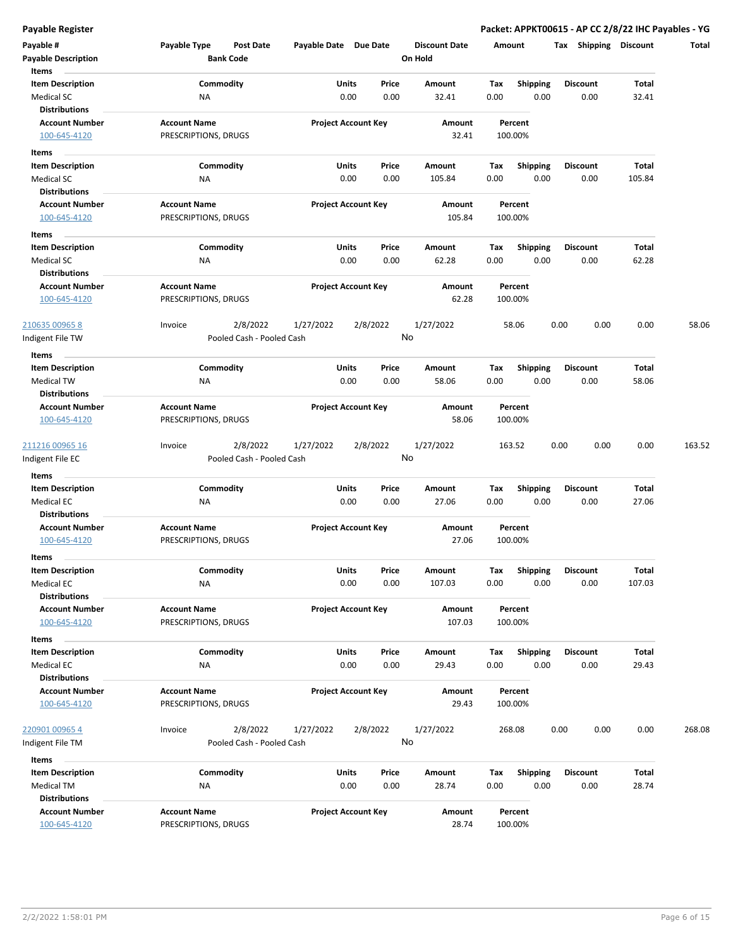| Payable #<br><b>Payable Description</b>   | Payable Type         | Post Date<br><b>Bank Code</b> | Payable Date Due Date |                                | <b>Discount Date</b><br>On Hold |             | Amount                  | Tax<br><b>Shipping</b>  | <b>Discount</b> | Total  |
|-------------------------------------------|----------------------|-------------------------------|-----------------------|--------------------------------|---------------------------------|-------------|-------------------------|-------------------------|-----------------|--------|
| Items                                     |                      |                               |                       |                                |                                 |             |                         |                         |                 |        |
| <b>Item Description</b>                   |                      | Commodity                     | Units                 | Price                          | Amount                          | Tax         | <b>Shipping</b>         | <b>Discount</b>         | Total           |        |
| Medical SC                                | ΝA                   |                               |                       | 0.00<br>0.00                   | 32.41                           | 0.00        | 0.00                    | 0.00                    | 32.41           |        |
| Distributions                             |                      |                               |                       |                                |                                 |             |                         |                         |                 |        |
| <b>Account Number</b>                     | <b>Account Name</b>  |                               |                       | <b>Project Account Key</b>     | Amount                          |             | Percent                 |                         |                 |        |
| 100-645-4120                              | PRESCRIPTIONS, DRUGS |                               |                       |                                | 32.41                           |             | 100.00%                 |                         |                 |        |
|                                           |                      |                               |                       |                                |                                 |             |                         |                         |                 |        |
| Items                                     |                      |                               |                       |                                |                                 |             |                         |                         |                 |        |
| <b>Item Description</b>                   |                      | Commodity                     |                       | Units<br>Price                 | Amount                          | Тах         | <b>Shipping</b>         | <b>Discount</b>         | Total           |        |
| <b>Medical SC</b>                         | ΝA                   |                               |                       | 0.00<br>0.00                   | 105.84                          | 0.00        | 0.00                    | 0.00                    | 105.84          |        |
| <b>Distributions</b>                      |                      |                               |                       |                                |                                 |             |                         |                         |                 |        |
| <b>Account Number</b>                     | <b>Account Name</b>  |                               |                       | <b>Project Account Key</b>     | Amount                          |             | Percent                 |                         |                 |        |
| 100-645-4120                              | PRESCRIPTIONS, DRUGS |                               |                       |                                | 105.84                          |             | 100.00%                 |                         |                 |        |
| Items                                     |                      |                               |                       |                                |                                 |             |                         |                         |                 |        |
| <b>Item Description</b>                   |                      | Commodity                     | Units                 | Price                          | Amount                          | Tax         | <b>Shipping</b>         | <b>Discount</b>         | Total           |        |
| Medical SC                                | ΝA                   |                               |                       | 0.00<br>0.00                   | 62.28                           | 0.00        | 0.00                    | 0.00                    | 62.28           |        |
| <b>Distributions</b>                      |                      |                               |                       |                                |                                 |             |                         |                         |                 |        |
| <b>Account Number</b>                     | <b>Account Name</b>  |                               |                       | <b>Project Account Key</b>     | Amount                          |             | Percent                 |                         |                 |        |
| 100-645-4120                              | PRESCRIPTIONS, DRUGS |                               |                       |                                | 62.28                           |             | 100.00%                 |                         |                 |        |
|                                           |                      |                               |                       |                                |                                 |             |                         |                         |                 |        |
| <u>210635 00965 8</u>                     | Invoice              | 2/8/2022                      | 1/27/2022             | 2/8/2022                       | 1/27/2022                       |             | 58.06                   | 0.00<br>0.00            | 0.00            | 58.06  |
| Indigent File TW                          |                      | Pooled Cash - Pooled Cash     |                       |                                | No                              |             |                         |                         |                 |        |
| Items                                     |                      |                               |                       |                                |                                 |             |                         |                         |                 |        |
| <b>Item Description</b>                   |                      | Commodity                     | Units                 | Price                          | Amount                          | Tax         | <b>Shipping</b>         | <b>Discount</b>         | Total           |        |
| Medical TW                                | NA                   |                               |                       | 0.00<br>0.00                   | 58.06                           | 0.00        | 0.00                    | 0.00                    | 58.06           |        |
| <b>Distributions</b>                      |                      |                               |                       |                                |                                 |             |                         |                         |                 |        |
| <b>Account Number</b>                     | <b>Account Name</b>  |                               |                       | <b>Project Account Key</b>     | Amount                          |             | Percent                 |                         |                 |        |
| 100-645-4120                              | PRESCRIPTIONS, DRUGS |                               |                       |                                | 58.06                           |             | 100.00%                 |                         |                 |        |
|                                           |                      |                               |                       |                                |                                 |             |                         |                         |                 |        |
| <u>211216 00965 16</u>                    | Invoice              | 2/8/2022                      | 1/27/2022             | 2/8/2022                       | 1/27/2022                       |             | 163.52                  | 0.00<br>0.00            | 0.00            | 163.52 |
| ndigent File EC                           |                      | Pooled Cash - Pooled Cash     |                       |                                | No                              |             |                         |                         |                 |        |
|                                           |                      |                               |                       |                                |                                 |             |                         |                         |                 |        |
| Items                                     |                      |                               |                       |                                |                                 |             |                         |                         |                 |        |
| <b>Item Description</b>                   |                      | Commodity                     |                       | Units<br>Price<br>0.00<br>0.00 | Amount<br>27.06                 | Tax<br>0.00 | <b>Shipping</b><br>0.00 | <b>Discount</b><br>0.00 | Total<br>27.06  |        |
| <b>Medical EC</b><br><b>Distributions</b> | ΝA                   |                               |                       |                                |                                 |             |                         |                         |                 |        |
| <b>Account Number</b>                     | <b>Account Name</b>  |                               |                       | <b>Project Account Key</b>     | Amount                          |             | Percent                 |                         |                 |        |
| 100-645-4120                              | PRESCRIPTIONS, DRUGS |                               |                       |                                | 27.06                           |             | 100.00%                 |                         |                 |        |
|                                           |                      |                               |                       |                                |                                 |             |                         |                         |                 |        |
| Items                                     |                      |                               |                       |                                |                                 |             |                         |                         |                 |        |
| <b>Item Description</b>                   |                      | Commodity                     | Units                 | Price                          | Amount                          | Tax         | Shipping                | Discount                | Total           |        |
| <b>Medical EC</b>                         | ΝA                   |                               |                       | 0.00<br>0.00                   | 107.03                          | 0.00        | 0.00                    | 0.00                    | 107.03          |        |
| <b>Distributions</b>                      |                      |                               |                       |                                |                                 |             |                         |                         |                 |        |
| <b>Account Number</b>                     | <b>Account Name</b>  |                               |                       | <b>Project Account Key</b>     | Amount                          |             | Percent                 |                         |                 |        |
| 100-645-4120                              | PRESCRIPTIONS, DRUGS |                               |                       |                                | 107.03                          |             | 100.00%                 |                         |                 |        |
| Items                                     |                      |                               |                       |                                |                                 |             |                         |                         |                 |        |
| <b>Item Description</b>                   |                      | Commodity                     |                       | Units<br>Price                 | Amount                          | Tax         | <b>Shipping</b>         | Discount                | Total           |        |
| Medical EC                                | NA                   |                               |                       | 0.00<br>0.00                   | 29.43                           | 0.00        | 0.00                    | 0.00                    | 29.43           |        |
| <b>Distributions</b>                      |                      |                               |                       |                                |                                 |             |                         |                         |                 |        |
| <b>Account Number</b>                     | <b>Account Name</b>  |                               |                       | <b>Project Account Key</b>     | Amount                          |             | Percent                 |                         |                 |        |
| 100-645-4120                              | PRESCRIPTIONS, DRUGS |                               |                       |                                | 29.43                           |             | 100.00%                 |                         |                 |        |
|                                           |                      |                               |                       |                                |                                 |             |                         |                         |                 |        |
| 220901 00965 4                            | Invoice              | 2/8/2022                      | 1/27/2022             | 2/8/2022                       | 1/27/2022                       |             | 268.08                  | 0.00<br>0.00            | 0.00            | 268.08 |
| Indigent File TM                          |                      | Pooled Cash - Pooled Cash     |                       |                                | No                              |             |                         |                         |                 |        |
| Items                                     |                      |                               |                       |                                |                                 |             |                         |                         |                 |        |
| <b>Item Description</b>                   |                      | Commodity                     |                       | Units<br>Price                 | Amount                          | Tax         | Shipping                | <b>Discount</b>         | Total           |        |
| Medical TM                                | ΝA                   |                               |                       | 0.00<br>0.00                   | 28.74                           | 0.00        | 0.00                    | 0.00                    | 28.74           |        |
| <b>Distributions</b>                      |                      |                               |                       |                                |                                 |             |                         |                         |                 |        |
| <b>Account Number</b>                     | <b>Account Name</b>  |                               |                       | <b>Project Account Key</b>     | Amount                          |             | Percent                 |                         |                 |        |
| 100-645-4120                              | PRESCRIPTIONS, DRUGS |                               |                       |                                | 28.74                           |             | 100.00%                 |                         |                 |        |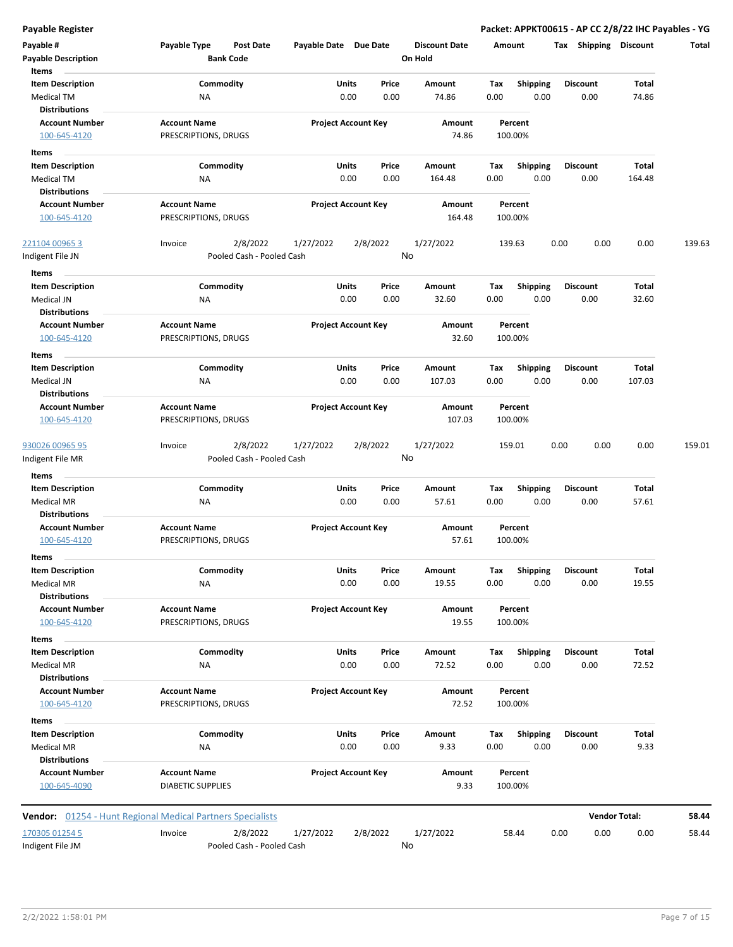| Payable #<br><b>Payable Description</b>   | Payable Type<br>Post Date<br><b>Bank Code</b>                     | Payable Date Due Date      |               | <b>Discount Date</b><br>On Hold | Amount      |                         | Tax Shipping            | Discount             | Total  |
|-------------------------------------------|-------------------------------------------------------------------|----------------------------|---------------|---------------------------------|-------------|-------------------------|-------------------------|----------------------|--------|
| Items                                     |                                                                   |                            |               |                                 |             |                         |                         |                      |        |
| <b>Item Description</b>                   | Commodity                                                         | Units                      | Price         | Amount                          | Tax         | <b>Shipping</b>         | <b>Discount</b>         | Total                |        |
| <b>Medical TM</b><br><b>Distributions</b> | ΝA                                                                | 0.00                       | 0.00          | 74.86                           | 0.00        | 0.00                    | 0.00                    | 74.86                |        |
| <b>Account Number</b><br>100-645-4120     | <b>Account Name</b><br>PRESCRIPTIONS, DRUGS                       | <b>Project Account Key</b> |               | Amount<br>74.86                 |             | Percent<br>100.00%      |                         |                      |        |
|                                           |                                                                   |                            |               |                                 |             |                         |                         |                      |        |
| Items                                     |                                                                   |                            |               |                                 |             |                         |                         |                      |        |
| <b>Item Description</b>                   | Commodity                                                         | Units<br>0.00              | Price<br>0.00 | Amount<br>164.48                | Tax<br>0.00 | <b>Shipping</b><br>0.00 | <b>Discount</b><br>0.00 | Total<br>164.48      |        |
| Medical TM<br><b>Distributions</b>        | ΝA                                                                |                            |               |                                 |             |                         |                         |                      |        |
| <b>Account Number</b>                     | <b>Account Name</b>                                               | <b>Project Account Key</b> |               | Amount                          |             | Percent                 |                         |                      |        |
| 100-645-4120                              | PRESCRIPTIONS, DRUGS                                              |                            |               | 164.48                          |             | 100.00%                 |                         |                      |        |
|                                           |                                                                   |                            |               |                                 |             |                         |                         |                      |        |
| 221104 00965 3                            | 2/8/2022<br>Invoice                                               | 1/27/2022                  | 2/8/2022      | 1/27/2022                       | 139.63      |                         | 0.00<br>0.00            | 0.00                 | 139.63 |
| Indigent File JN                          | Pooled Cash - Pooled Cash                                         |                            |               | No                              |             |                         |                         |                      |        |
| Items                                     |                                                                   |                            |               |                                 |             |                         |                         |                      |        |
| <b>Item Description</b>                   | Commodity                                                         | <b>Units</b>               | Price         | Amount                          | Tax         | <b>Shipping</b>         | <b>Discount</b>         | Total                |        |
| Medical JN                                | NA                                                                | 0.00                       | 0.00          | 32.60                           | 0.00        | 0.00                    | 0.00                    | 32.60                |        |
| <b>Distributions</b>                      |                                                                   |                            |               |                                 |             |                         |                         |                      |        |
| <b>Account Number</b>                     | <b>Account Name</b>                                               | <b>Project Account Key</b> |               | Amount                          |             | Percent                 |                         |                      |        |
| 100-645-4120                              | PRESCRIPTIONS, DRUGS                                              |                            |               | 32.60                           |             | 100.00%                 |                         |                      |        |
| Items                                     |                                                                   |                            |               |                                 |             |                         |                         |                      |        |
| <b>Item Description</b>                   | Commodity                                                         | Units                      | Price         | Amount                          | Tax         | <b>Shipping</b>         | <b>Discount</b>         | Total                |        |
| Medical JN                                | NA                                                                | 0.00                       | 0.00          | 107.03                          | 0.00        | 0.00                    | 0.00                    | 107.03               |        |
| <b>Distributions</b>                      |                                                                   |                            |               |                                 |             |                         |                         |                      |        |
| <b>Account Number</b>                     | <b>Account Name</b>                                               | <b>Project Account Key</b> |               | Amount                          |             | Percent                 |                         |                      |        |
| 100-645-4120                              | PRESCRIPTIONS, DRUGS                                              |                            |               | 107.03                          |             | 100.00%                 |                         |                      |        |
| 930026 00965 95                           | 2/8/2022<br>Invoice                                               | 1/27/2022                  | 2/8/2022      | 1/27/2022                       | 159.01      |                         | 0.00<br>0.00            | 0.00                 | 159.01 |
| Indigent File MR                          | Pooled Cash - Pooled Cash                                         |                            |               | No                              |             |                         |                         |                      |        |
| Items                                     |                                                                   |                            |               |                                 |             |                         |                         |                      |        |
| <b>Item Description</b>                   | Commodity                                                         | Units                      | Price         | Amount                          | Tax         | <b>Shipping</b>         | <b>Discount</b>         | <b>Total</b>         |        |
| <b>Medical MR</b>                         | ΝA                                                                | 0.00                       | 0.00          | 57.61                           | 0.00        | 0.00                    | 0.00                    | 57.61                |        |
| <b>Distributions</b>                      |                                                                   |                            |               |                                 |             |                         |                         |                      |        |
| <b>Account Number</b>                     | <b>Account Name</b>                                               | <b>Project Account Key</b> |               | Amount                          |             | Percent                 |                         |                      |        |
| 100-645-4120                              | PRESCRIPTIONS, DRUGS                                              |                            |               | 57.61                           |             | 100.00%                 |                         |                      |        |
| Items                                     |                                                                   |                            |               |                                 |             |                         |                         |                      |        |
| <b>Item Description</b>                   | Commodity                                                         | Units                      | Price         | Amount                          | Тах         | <b>Shipping</b>         | Discount                | Total                |        |
| Medical MR                                | ΝA                                                                | 0.00                       | 0.00          | 19.55                           | 0.00        | 0.00                    | 0.00                    | 19.55                |        |
| <b>Distributions</b>                      |                                                                   |                            |               |                                 |             |                         |                         |                      |        |
| <b>Account Number</b>                     | <b>Account Name</b>                                               | <b>Project Account Key</b> |               | Amount                          |             | Percent                 |                         |                      |        |
| 100-645-4120                              | PRESCRIPTIONS, DRUGS                                              |                            |               | 19.55                           |             | 100.00%                 |                         |                      |        |
| Items                                     |                                                                   |                            |               |                                 |             |                         |                         |                      |        |
| <b>Item Description</b>                   | Commodity                                                         | <b>Units</b>               | Price         | Amount                          | Tax         | <b>Shipping</b>         | <b>Discount</b>         | Total                |        |
| Medical MR                                | NA                                                                | 0.00                       | 0.00          | 72.52                           | 0.00        | 0.00                    | 0.00                    | 72.52                |        |
| <b>Distributions</b>                      |                                                                   |                            |               |                                 |             |                         |                         |                      |        |
| <b>Account Number</b>                     | <b>Account Name</b>                                               | <b>Project Account Key</b> |               | Amount                          |             | Percent                 |                         |                      |        |
| 100-645-4120                              | PRESCRIPTIONS, DRUGS                                              |                            |               | 72.52                           |             | 100.00%                 |                         |                      |        |
| Items                                     |                                                                   |                            |               |                                 |             |                         |                         |                      |        |
| <b>Item Description</b>                   | Commodity                                                         | <b>Units</b>               | Price         | Amount                          | Tax         | <b>Shipping</b>         | <b>Discount</b>         | Total                |        |
| Medical MR                                | NA                                                                | 0.00                       | 0.00          | 9.33                            | 0.00        | 0.00                    | 0.00                    | 9.33                 |        |
| <b>Distributions</b>                      |                                                                   |                            |               |                                 |             |                         |                         |                      |        |
| <b>Account Number</b>                     | <b>Account Name</b>                                               | <b>Project Account Key</b> |               | Amount                          |             | Percent                 |                         |                      |        |
| 100-645-4090                              | <b>DIABETIC SUPPLIES</b>                                          |                            |               | 9.33                            |             | 100.00%                 |                         |                      |        |
|                                           | <b>Vendor:</b> 01254 - Hunt Regional Medical Partners Specialists |                            |               |                                 |             |                         |                         | <b>Vendor Total:</b> | 58.44  |
|                                           |                                                                   |                            |               |                                 |             |                         |                         |                      |        |
| 170305 01254 5                            | Invoice<br>2/8/2022                                               | 1/27/2022                  | 2/8/2022      | 1/27/2022                       |             | 58.44                   | 0.00<br>0.00            | 0.00                 | 58.44  |
| Indigent File JM                          | Pooled Cash - Pooled Cash                                         |                            |               | No                              |             |                         |                         |                      |        |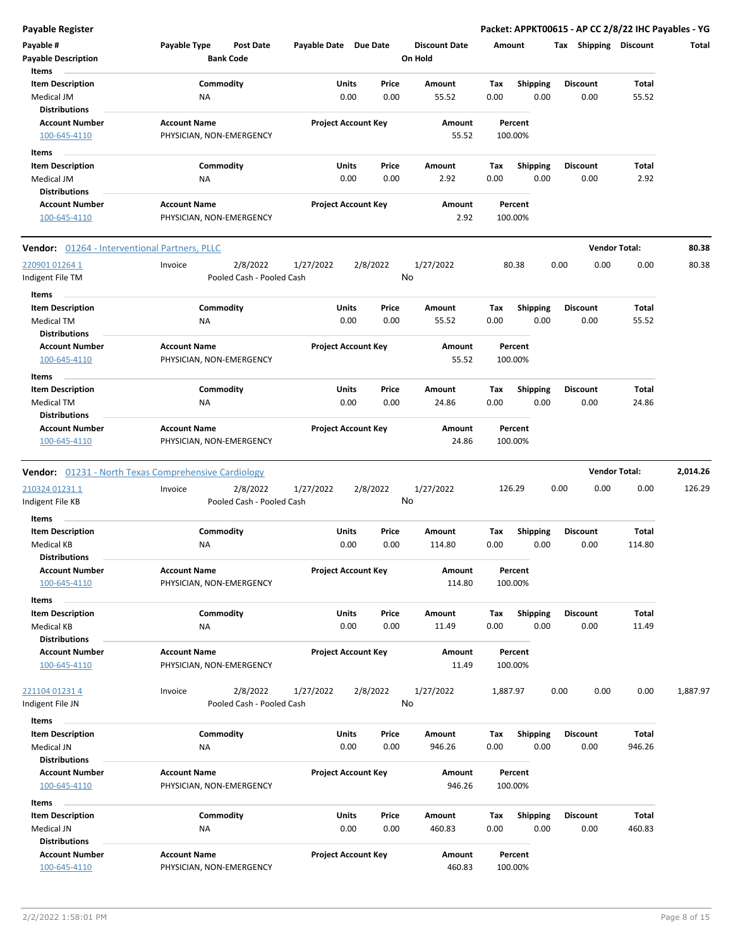| <b>Payable Register</b>                                              |                                                             |                            |               |                                 |             |                         | Packet: APPKT00615 - AP CC 2/8/22 IHC Payables - YG |                       |          |
|----------------------------------------------------------------------|-------------------------------------------------------------|----------------------------|---------------|---------------------------------|-------------|-------------------------|-----------------------------------------------------|-----------------------|----------|
| Payable #<br><b>Payable Description</b>                              | Payable Type<br><b>Post Date</b><br><b>Bank Code</b>        | Payable Date Due Date      |               | <b>Discount Date</b><br>On Hold | Amount      |                         | Tax Shipping Discount                               |                       | Total    |
| Items                                                                |                                                             |                            |               |                                 |             |                         |                                                     |                       |          |
| <b>Item Description</b><br>Medical JM                                | Commodity<br><b>NA</b>                                      | Units<br>0.00              | Price<br>0.00 | Amount<br>55.52                 | Tax<br>0.00 | <b>Shipping</b><br>0.00 | <b>Discount</b><br>0.00                             | Total<br>55.52        |          |
| <b>Distributions</b>                                                 |                                                             |                            |               |                                 |             |                         |                                                     |                       |          |
| <b>Account Number</b><br>100-645-4110                                | <b>Account Name</b><br>PHYSICIAN, NON-EMERGENCY             | <b>Project Account Key</b> |               | Amount<br>55.52                 | 100.00%     | Percent                 |                                                     |                       |          |
| Items                                                                |                                                             |                            |               |                                 |             |                         |                                                     |                       |          |
| <b>Item Description</b>                                              | Commodity                                                   | Units                      | Price         | Amount                          | Tax         | <b>Shipping</b>         | <b>Discount</b>                                     | Total                 |          |
| Medical JM<br><b>Distributions</b>                                   | ΝA                                                          | 0.00                       | 0.00          | 2.92                            | 0.00        | 0.00                    | 0.00                                                | 2.92                  |          |
| <b>Account Number</b><br>100-645-4110                                | <b>Account Name</b><br>PHYSICIAN, NON-EMERGENCY             | <b>Project Account Key</b> |               | Amount<br>2.92                  | 100.00%     | Percent                 |                                                     |                       |          |
| <b>Vendor:</b> 01264 - Interventional Partners, PLLC                 |                                                             |                            |               |                                 |             |                         |                                                     | <b>Vendor Total:</b>  | 80.38    |
| 220901 01264 1                                                       | 2/8/2022<br>Invoice                                         | 1/27/2022                  | 2/8/2022      | 1/27/2022                       |             | 80.38                   | 0.00<br>0.00                                        | 0.00                  | 80.38    |
| Indigent File TM                                                     | Pooled Cash - Pooled Cash                                   |                            |               | No                              |             |                         |                                                     |                       |          |
| Items                                                                |                                                             |                            |               |                                 |             |                         |                                                     |                       |          |
| <b>Item Description</b><br><b>Medical TM</b>                         | Commodity<br>ΝA                                             | Units<br>0.00              | Price<br>0.00 | Amount<br>55.52                 | Тах<br>0.00 | <b>Shipping</b><br>0.00 | <b>Discount</b><br>0.00                             | <b>Total</b><br>55.52 |          |
| <b>Distributions</b>                                                 |                                                             |                            |               |                                 |             |                         |                                                     |                       |          |
| <b>Account Number</b><br>100-645-4110                                | <b>Account Name</b><br>PHYSICIAN, NON-EMERGENCY             | <b>Project Account Key</b> |               | Amount<br>55.52                 | 100.00%     | Percent                 |                                                     |                       |          |
| Items                                                                |                                                             |                            |               |                                 |             |                         |                                                     |                       |          |
| <b>Item Description</b>                                              | Commodity                                                   | Units                      | Price         | Amount                          | Tax         | <b>Shipping</b>         | <b>Discount</b>                                     | Total                 |          |
| <b>Medical TM</b><br><b>Distributions</b>                            | NA                                                          | 0.00                       | 0.00          | 24.86                           | 0.00        | 0.00                    | 0.00                                                | 24.86                 |          |
| <b>Account Number</b>                                                | <b>Account Name</b>                                         | <b>Project Account Key</b> |               | Amount                          |             | Percent                 |                                                     |                       |          |
| 100-645-4110                                                         | PHYSICIAN, NON-EMERGENCY                                    |                            |               | 24.86                           | 100.00%     |                         |                                                     |                       |          |
|                                                                      | <b>Vendor:</b> 01231 - North Texas Comprehensive Cardiology |                            |               |                                 |             |                         |                                                     | <b>Vendor Total:</b>  | 2,014.26 |
| 210324 01231 1                                                       | 2/8/2022<br>Invoice                                         | 1/27/2022                  | 2/8/2022      | 1/27/2022                       | 126.29      |                         | 0.00<br>0.00                                        | 0.00                  | 126.29   |
| Indigent File KB<br>Items                                            | Pooled Cash - Pooled Cash                                   |                            |               | No                              |             |                         |                                                     |                       |          |
| <b>Item Description</b>                                              | Commodity                                                   | Units                      | Price         | Amount                          | Тах         | <b>Shipping</b>         | <b>Discount</b>                                     | <b>Total</b>          |          |
| <b>Medical KB</b><br><b>Distributions</b>                            | ΝA                                                          | 0.00                       | 0.00          | 114.80                          | 0.00        | 0.00                    | 0.00                                                | 114.80                |          |
| <b>Account Number</b>                                                | <b>Account Name</b>                                         | <b>Project Account Key</b> |               | Amount                          |             | Percent                 |                                                     |                       |          |
| 100-645-4110                                                         | PHYSICIAN, NON-EMERGENCY                                    |                            |               | 114.80                          | 100.00%     |                         |                                                     |                       |          |
| Items                                                                |                                                             |                            |               |                                 |             |                         |                                                     |                       |          |
| <b>Item Description</b><br><b>Medical KB</b><br><b>Distributions</b> | Commodity<br>ΝA                                             | Units<br>0.00              | Price<br>0.00 | Amount<br>11.49                 | Tax<br>0.00 | <b>Shipping</b><br>0.00 | <b>Discount</b><br>0.00                             | <b>Total</b><br>11.49 |          |
| <b>Account Number</b>                                                | <b>Account Name</b>                                         | <b>Project Account Key</b> |               | Amount                          |             | Percent                 |                                                     |                       |          |
| 100-645-4110                                                         | PHYSICIAN, NON-EMERGENCY                                    |                            |               | 11.49                           | 100.00%     |                         |                                                     |                       |          |
| 221104 01231 4                                                       | 2/8/2022<br>Invoice                                         | 1/27/2022                  | 2/8/2022      | 1/27/2022                       | 1,887.97    |                         | 0.00<br>0.00                                        | 0.00                  | 1,887.97 |
| Indigent File JN                                                     | Pooled Cash - Pooled Cash                                   |                            |               | No                              |             |                         |                                                     |                       |          |
| Items                                                                |                                                             |                            |               |                                 |             |                         |                                                     |                       |          |
| <b>Item Description</b>                                              | Commodity                                                   | Units                      | Price         | Amount                          | Tax         | <b>Shipping</b>         | <b>Discount</b>                                     | Total                 |          |
| Medical JN<br><b>Distributions</b>                                   | NA                                                          | 0.00                       | 0.00          | 946.26                          | 0.00        | 0.00                    | 0.00                                                | 946.26                |          |
| <b>Account Number</b>                                                | <b>Account Name</b>                                         | <b>Project Account Key</b> |               | Amount                          |             | Percent                 |                                                     |                       |          |
| 100-645-4110                                                         | PHYSICIAN, NON-EMERGENCY                                    |                            |               | 946.26                          | 100.00%     |                         |                                                     |                       |          |
| Items                                                                |                                                             |                            |               |                                 |             |                         |                                                     |                       |          |
| <b>Item Description</b><br>Medical JN<br><b>Distributions</b>        | Commodity<br>NA                                             | Units<br>0.00              | Price<br>0.00 | Amount<br>460.83                | Тах<br>0.00 | <b>Shipping</b><br>0.00 | <b>Discount</b><br>0.00                             | Total<br>460.83       |          |
| <b>Account Number</b>                                                | <b>Account Name</b>                                         | <b>Project Account Key</b> |               | Amount                          |             | Percent                 |                                                     |                       |          |
| 100-645-4110                                                         | PHYSICIAN, NON-EMERGENCY                                    |                            |               | 460.83                          | 100.00%     |                         |                                                     |                       |          |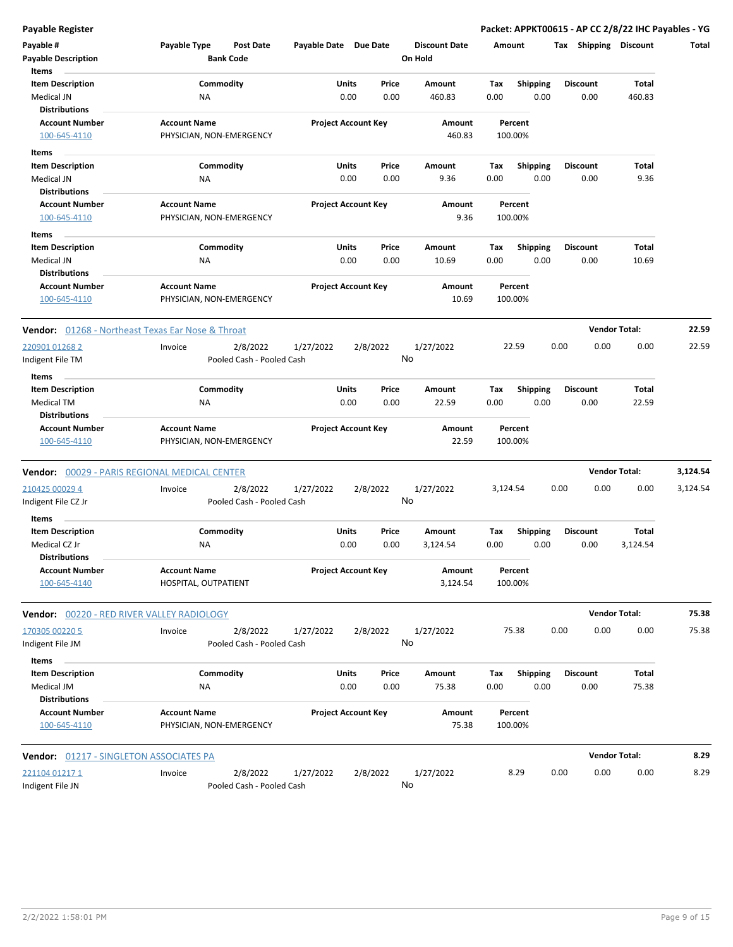| <b>Payable Register</b>                                          |                                                      |                       |                            |                                 |                    |                  | Packet: APPKT00615 - AP CC 2/8/22 IHC Payables - YG |                      |          |
|------------------------------------------------------------------|------------------------------------------------------|-----------------------|----------------------------|---------------------------------|--------------------|------------------|-----------------------------------------------------|----------------------|----------|
| Payable #<br><b>Payable Description</b>                          | Payable Type<br><b>Post Date</b><br><b>Bank Code</b> | Payable Date Due Date |                            | <b>Discount Date</b><br>On Hold | Amount             |                  | Tax Shipping Discount                               |                      | Total    |
| Items<br><b>Item Description</b>                                 | Commodity                                            | Units                 | Price                      | Amount                          | Tax                | <b>Shipping</b>  | <b>Discount</b>                                     | <b>Total</b>         |          |
| Medical JN                                                       | <b>NA</b>                                            | 0.00                  | 0.00                       | 460.83                          | 0.00               | 0.00             | 0.00                                                | 460.83               |          |
| <b>Distributions</b>                                             |                                                      |                       |                            |                                 |                    |                  |                                                     |                      |          |
| <b>Account Number</b>                                            | <b>Account Name</b>                                  |                       | <b>Project Account Key</b> | Amount                          | Percent            |                  |                                                     |                      |          |
| 100-645-4110                                                     | PHYSICIAN, NON-EMERGENCY                             |                       |                            | 460.83                          | 100.00%            |                  |                                                     |                      |          |
| Items                                                            |                                                      |                       |                            |                                 |                    |                  |                                                     |                      |          |
| <b>Item Description</b>                                          | Commodity                                            | Units                 | Price                      | Amount                          | Tax                | <b>Shipping</b>  | <b>Discount</b>                                     | Total                |          |
| Medical JN                                                       | NA                                                   | 0.00                  | 0.00                       | 9.36                            | 0.00               | 0.00             | 0.00                                                | 9.36                 |          |
| <b>Distributions</b>                                             |                                                      |                       |                            |                                 |                    |                  |                                                     |                      |          |
| <b>Account Number</b>                                            | <b>Account Name</b>                                  |                       | <b>Project Account Key</b> | Amount                          | Percent            |                  |                                                     |                      |          |
| 100-645-4110                                                     | PHYSICIAN, NON-EMERGENCY                             |                       |                            | 9.36                            | 100.00%            |                  |                                                     |                      |          |
| Items                                                            |                                                      |                       |                            |                                 |                    |                  |                                                     |                      |          |
| <b>Item Description</b>                                          | Commodity                                            | Units                 | Price                      | Amount                          | Tax                | <b>Shipping</b>  | <b>Discount</b>                                     | Total                |          |
| Medical JN                                                       | ΝA                                                   | 0.00                  | 0.00                       | 10.69                           | 0.00               | 0.00             | 0.00                                                | 10.69                |          |
| <b>Distributions</b>                                             |                                                      |                       |                            |                                 |                    |                  |                                                     |                      |          |
| <b>Account Number</b><br>100-645-4110                            | <b>Account Name</b><br>PHYSICIAN, NON-EMERGENCY      |                       | <b>Project Account Key</b> | Amount<br>10.69                 | Percent<br>100.00% |                  |                                                     |                      |          |
| <b>Vendor:</b> 01268 - Northeast Texas Ear Nose & Throat         |                                                      |                       |                            |                                 |                    |                  |                                                     | <b>Vendor Total:</b> | 22.59    |
| 220901 01268 2<br>Indigent File TM                               | 2/8/2022<br>Invoice<br>Pooled Cash - Pooled Cash     | 1/27/2022             | 2/8/2022                   | 1/27/2022<br>No                 | 22.59              |                  | 0.00<br>0.00                                        | 0.00                 | 22.59    |
| Items                                                            |                                                      |                       |                            |                                 |                    |                  |                                                     |                      |          |
| <b>Item Description</b>                                          | Commodity                                            | Units                 | Price                      | Amount                          | Tax                | <b>Shipping</b>  | <b>Discount</b>                                     | Total                |          |
| Medical TM<br><b>Distributions</b>                               | ΝA                                                   | 0.00                  | 0.00                       | 22.59                           | 0.00               | 0.00             | 0.00                                                | 22.59                |          |
| <b>Account Number</b><br>100-645-4110                            | <b>Account Name</b><br>PHYSICIAN, NON-EMERGENCY      |                       | <b>Project Account Key</b> | Amount<br>22.59                 | Percent<br>100.00% |                  |                                                     |                      |          |
| Vendor: 00029 - PARIS REGIONAL MEDICAL CENTER                    |                                                      |                       |                            |                                 |                    |                  |                                                     | <b>Vendor Total:</b> | 3,124.54 |
| 210425 00029 4<br>Indigent File CZ Jr                            | 2/8/2022<br>Invoice<br>Pooled Cash - Pooled Cash     | 1/27/2022             | 2/8/2022                   | 1/27/2022<br>No                 | 3,124.54           |                  | 0.00<br>0.00                                        | 0.00                 | 3,124.54 |
| Items                                                            |                                                      |                       |                            |                                 |                    |                  |                                                     |                      |          |
| <b>Item Description</b><br>Medical CZ Jr<br><b>Distributions</b> | Commodity<br>NA                                      | Units<br>0.00         | Price<br>0.00              | Amount<br>3,124.54              | Tax<br>0.00        | Shipping<br>0.00 | <b>Discount</b><br>0.00                             | Total<br>3,124.54    |          |
| <b>Account Number</b>                                            | <b>Account Name</b>                                  |                       | <b>Project Account Key</b> | Amount                          | Percent            |                  |                                                     |                      |          |
| 100-645-4140                                                     | HOSPITAL, OUTPATIENT                                 |                       |                            | 3,124.54                        | 100.00%            |                  |                                                     |                      |          |
| <b>Vendor: 00220 - RED RIVER VALLEY RADIOLOGY</b>                |                                                      |                       |                            |                                 |                    |                  |                                                     | <b>Vendor Total:</b> | 75.38    |
| 170305 00220 5                                                   | 2/8/2022<br>Invoice                                  | 1/27/2022             | 2/8/2022                   | 1/27/2022                       | 75.38              |                  | 0.00<br>0.00                                        | 0.00                 | 75.38    |
| Indigent File JM                                                 | Pooled Cash - Pooled Cash                            |                       |                            | No                              |                    |                  |                                                     |                      |          |
| Items                                                            |                                                      |                       |                            |                                 |                    |                  |                                                     |                      |          |
| <b>Item Description</b>                                          | Commodity                                            | <b>Units</b>          | Price                      | Amount                          | Тах                | <b>Shipping</b>  | <b>Discount</b>                                     | Total                |          |
| Medical JM                                                       | ΝA                                                   | 0.00                  | 0.00                       | 75.38                           | 0.00               | 0.00             | 0.00                                                | 75.38                |          |
| <b>Distributions</b>                                             |                                                      |                       |                            |                                 |                    |                  |                                                     |                      |          |
| <b>Account Number</b><br>100-645-4110                            | <b>Account Name</b><br>PHYSICIAN, NON-EMERGENCY      |                       | <b>Project Account Key</b> | Amount<br>75.38                 | Percent<br>100.00% |                  |                                                     |                      |          |
| <b>Vendor: 01217 - SINGLETON ASSOCIATES PA</b>                   |                                                      |                       |                            |                                 |                    |                  |                                                     | <b>Vendor Total:</b> | 8.29     |

| ___              |         |                           |           |          |           |      |      |      |      |      |
|------------------|---------|---------------------------|-----------|----------|-----------|------|------|------|------|------|
| 221104 01217 1   | Invoice | 2/8/2022                  | 1/27/2022 | 2/8/2022 | 1/27/2022 | 8.29 | 0.00 | 0.00 | 0.00 | 8.29 |
| Indigent File JN |         | Pooled Cash - Pooled Cash |           |          | No        |      |      |      |      |      |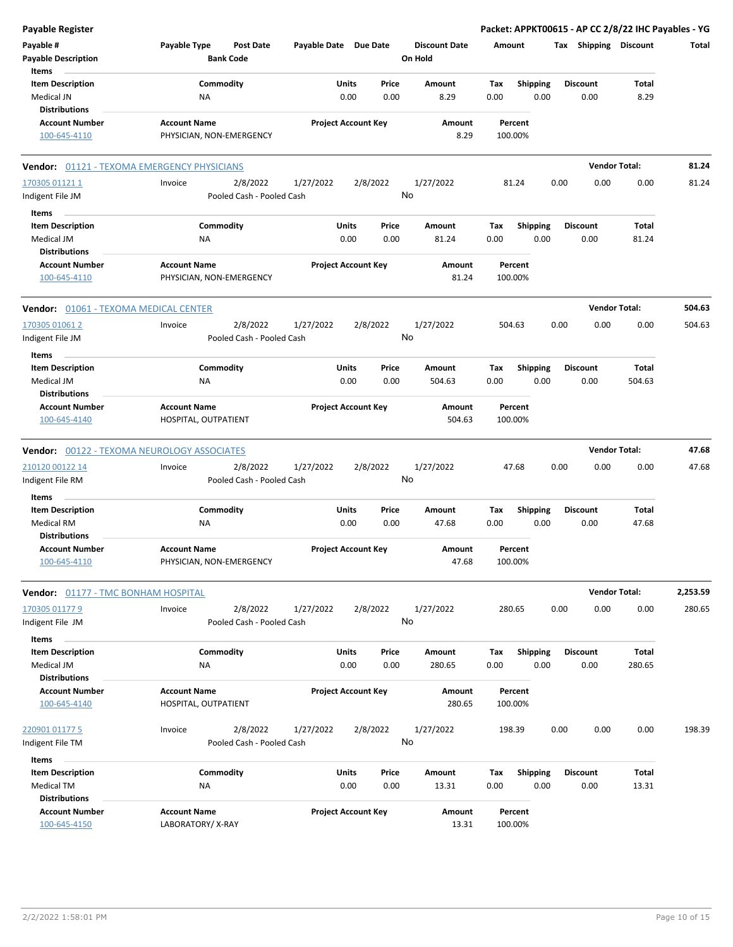| Payable Register                                                       |                                                  |                            |                            |                                 | Packet: APPKT00615 - AP CC 2/8/22 IHC Payables - YG |                         |                 |          |
|------------------------------------------------------------------------|--------------------------------------------------|----------------------------|----------------------------|---------------------------------|-----------------------------------------------------|-------------------------|-----------------|----------|
| Payable #<br><b>Payable Description</b>                                | Payable Type<br>Post Date<br><b>Bank Code</b>    | Payable Date Due Date      |                            | <b>Discount Date</b><br>On Hold | Amount                                              | Tax Shipping Discount   |                 | Total    |
| Items<br><b>Item Description</b><br>Medical JN<br><b>Distributions</b> | Commodity<br>NA                                  | Units<br>0.00              | Price<br>0.00              | Amount<br>8.29                  | <b>Shipping</b><br>Tax<br>0.00<br>0.00              | <b>Discount</b><br>0.00 | Total<br>8.29   |          |
| <b>Account Number</b><br>100-645-4110                                  | <b>Account Name</b><br>PHYSICIAN, NON-EMERGENCY  |                            | <b>Project Account Key</b> | Amount<br>8.29                  | Percent<br>100.00%                                  |                         |                 |          |
| <b>Vendor: 01121 - TEXOMA EMERGENCY PHYSICIANS</b>                     |                                                  |                            |                            |                                 |                                                     | <b>Vendor Total:</b>    |                 | 81.24    |
| 170305 01121 1<br>Indigent File JM                                     | 2/8/2022<br>Invoice<br>Pooled Cash - Pooled Cash | 1/27/2022                  | 2/8/2022                   | 1/27/2022<br>No                 | 81.24                                               | 0.00<br>0.00            | 0.00            | 81.24    |
| Items<br><b>Item Description</b><br>Medical JM<br><b>Distributions</b> | Commodity<br>ΝA                                  | Units<br>0.00              | Price<br>0.00              | Amount<br>81.24                 | Tax<br><b>Shipping</b><br>0.00<br>0.00              | <b>Discount</b><br>0.00 | Total<br>81.24  |          |
| <b>Account Number</b><br>100-645-4110                                  | <b>Account Name</b><br>PHYSICIAN, NON-EMERGENCY  |                            | <b>Project Account Key</b> | Amount<br>81.24                 | Percent<br>100.00%                                  |                         |                 |          |
| <b>Vendor: 01061 - TEXOMA MEDICAL CENTER</b>                           |                                                  |                            |                            |                                 |                                                     | <b>Vendor Total:</b>    |                 | 504.63   |
| 170305 01061 2<br>Indigent File JM                                     | 2/8/2022<br>Invoice<br>Pooled Cash - Pooled Cash | 1/27/2022                  | 2/8/2022                   | 1/27/2022<br>No                 | 504.63                                              | 0.00<br>0.00            | 0.00            | 504.63   |
| Items<br><b>Item Description</b><br>Medical JM                         | Commodity<br>ΝA                                  | Units<br>0.00              | Price<br>0.00              | Amount<br>504.63                | <b>Shipping</b><br>Tax<br>0.00<br>0.00              | <b>Discount</b><br>0.00 | Total<br>504.63 |          |
| <b>Distributions</b><br><b>Account Number</b><br>100-645-4140          | <b>Account Name</b><br>HOSPITAL, OUTPATIENT      |                            | <b>Project Account Key</b> | Amount<br>504.63                | Percent<br>100.00%                                  |                         |                 |          |
| <b>Vendor: 00122 - TEXOMA NEUROLOGY ASSOCIATES</b>                     |                                                  |                            |                            |                                 |                                                     | <b>Vendor Total:</b>    |                 | 47.68    |
| 210120 00122 14<br>Indigent File RM                                    | 2/8/2022<br>Invoice<br>Pooled Cash - Pooled Cash | 1/27/2022                  | 2/8/2022                   | 1/27/2022<br>No                 | 47.68                                               | 0.00<br>0.00            | 0.00            | 47.68    |
| Items<br><b>Item Description</b><br><b>Medical RM</b><br>Distributions | Commodity<br>ΝA                                  | Units<br>0.00              | Price<br>0.00              | Amount<br>47.68                 | <b>Shipping</b><br>Tax<br>0.00<br>0.00              | <b>Discount</b><br>0.00 | Total<br>47.68  |          |
| <b>Account Number</b><br>100-645-4110                                  | <b>Account Name</b><br>PHYSICIAN, NON-EMERGENCY  | <b>Project Account Key</b> |                            | Amount<br>47.68                 | Percent<br>100.00%                                  |                         |                 |          |
| Vendor: 01177 - TMC BONHAM HOSPITAL                                    |                                                  |                            |                            |                                 |                                                     | <b>Vendor Total:</b>    |                 | 2,253.59 |
| 170305 01177 9<br>Indigent File JM                                     | 2/8/2022<br>Invoice<br>Pooled Cash - Pooled Cash | 1/27/2022                  | 2/8/2022                   | 1/27/2022<br>No                 | 280.65                                              | 0.00<br>0.00            | 0.00            | 280.65   |
| Items<br><b>Item Description</b><br>Medical JM<br><b>Distributions</b> | Commodity<br>NA                                  | <b>Units</b><br>0.00       | Price<br>0.00              | Amount<br>280.65                | Shipping<br>Tax<br>0.00<br>0.00                     | <b>Discount</b><br>0.00 | Total<br>280.65 |          |
| <b>Account Number</b><br>100-645-4140                                  | <b>Account Name</b><br>HOSPITAL, OUTPATIENT      | <b>Project Account Key</b> |                            | Amount<br>280.65                | Percent<br>100.00%                                  |                         |                 |          |
| 220901 01177 5<br>Indigent File TM                                     | 2/8/2022<br>Invoice<br>Pooled Cash - Pooled Cash | 1/27/2022                  | 2/8/2022                   | 1/27/2022<br>No                 | 198.39                                              | 0.00<br>0.00            | 0.00            | 198.39   |
| Items<br><b>Item Description</b>                                       | Commodity                                        | <b>Units</b>               | Price                      | Amount                          | <b>Shipping</b><br>Tax                              | <b>Discount</b>         | Total           |          |
| Medical TM<br><b>Distributions</b>                                     | ΝA                                               | 0.00                       | 0.00                       | 13.31                           | 0.00<br>0.00                                        | 0.00                    | 13.31           |          |
| <b>Account Number</b><br>100-645-4150                                  | <b>Account Name</b><br>LABORATORY/X-RAY          |                            | <b>Project Account Key</b> | Amount<br>13.31                 | Percent<br>100.00%                                  |                         |                 |          |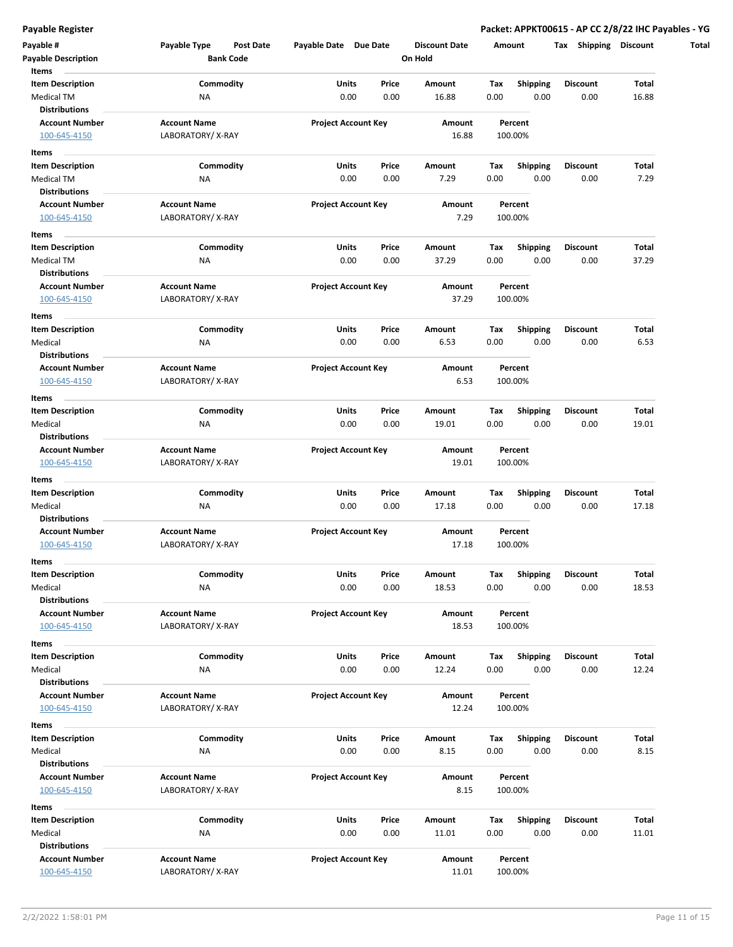| Payable #                       | Payable Type        | Payable Date Due Date<br>Post Date |                            | <b>Discount Date</b> | Amount  |                 | Shipping<br>Tax | <b>Discount</b> |
|---------------------------------|---------------------|------------------------------------|----------------------------|----------------------|---------|-----------------|-----------------|-----------------|
| <b>Payable Description</b>      | <b>Bank Code</b>    |                                    |                            | On Hold              |         |                 |                 |                 |
| Items                           |                     |                                    |                            |                      |         |                 |                 |                 |
| <b>Item Description</b>         | Commodity           | Units                              | Price                      | Amount               | Tax     | <b>Shipping</b> | <b>Discount</b> | Total           |
| Medical TM                      | NA                  |                                    | 0.00<br>0.00               | 16.88                | 0.00    | 0.00            | 0.00            | 16.88           |
| <b>Distributions</b>            |                     |                                    |                            |                      |         |                 |                 |                 |
| <b>Account Number</b>           | <b>Account Name</b> |                                    | <b>Project Account Key</b> | Amount               | Percent |                 |                 |                 |
| 100-645-4150                    | LABORATORY/X-RAY    |                                    |                            | 16.88                | 100.00% |                 |                 |                 |
| Items                           |                     |                                    |                            |                      |         |                 |                 |                 |
| <b>Item Description</b>         | Commodity           | Units                              | Price                      | Amount               | Тах     | <b>Shipping</b> | <b>Discount</b> | Total           |
| Medical TM                      | NA                  |                                    | 0.00<br>0.00               | 7.29                 | 0.00    | 0.00            | 0.00            | 7.29            |
| <b>Distributions</b>            |                     |                                    |                            |                      |         |                 |                 |                 |
| <b>Account Number</b>           | <b>Account Name</b> |                                    | <b>Project Account Key</b> | Amount               | Percent |                 |                 |                 |
| 100-645-4150                    | LABORATORY/X-RAY    |                                    |                            | 7.29                 | 100.00% |                 |                 |                 |
| Items                           |                     |                                    |                            |                      |         |                 |                 |                 |
| <b>Item Description</b>         | Commodity           | Units                              | Price                      | Amount               | Tax     | <b>Shipping</b> | Discount        | Total           |
| Medical TM                      | NA                  |                                    | 0.00<br>0.00               | 37.29                | 0.00    | 0.00            | 0.00            | 37.29           |
| <b>Distributions</b>            |                     |                                    |                            |                      |         |                 |                 |                 |
| <b>Account Number</b>           | <b>Account Name</b> |                                    | <b>Project Account Key</b> | Amount               | Percent |                 |                 |                 |
| 100-645-4150                    | LABORATORY/X-RAY    |                                    |                            | 37.29                | 100.00% |                 |                 |                 |
|                                 |                     |                                    |                            |                      |         |                 |                 |                 |
| Items                           |                     |                                    |                            |                      |         |                 |                 |                 |
| <b>Item Description</b>         | Commodity           | Units                              | Price                      | Amount               | Tax     | <b>Shipping</b> | <b>Discount</b> | Total           |
| Medical                         | <b>NA</b>           |                                    | 0.00<br>0.00               | 6.53                 | 0.00    | 0.00            | 0.00            | 6.53            |
| <b>Distributions</b>            |                     |                                    |                            |                      |         |                 |                 |                 |
| <b>Account Number</b>           | <b>Account Name</b> |                                    | <b>Project Account Key</b> | Amount               | Percent |                 |                 |                 |
| 100-645-4150                    | LABORATORY/X-RAY    |                                    |                            | 6.53                 | 100.00% |                 |                 |                 |
| Items                           |                     |                                    |                            |                      |         |                 |                 |                 |
| <b>Item Description</b>         | Commodity           | Units                              | Price                      | Amount               | Тах     | <b>Shipping</b> | Discount        | Total           |
| Medical                         | NA                  | 0.00                               | 0.00                       | 19.01                | 0.00    | 0.00            | 0.00            | 19.01           |
| <b>Distributions</b>            |                     |                                    |                            |                      |         |                 |                 |                 |
| <b>Account Number</b>           | <b>Account Name</b> |                                    | <b>Project Account Key</b> | Amount               | Percent |                 |                 |                 |
| 100-645-4150                    | LABORATORY/X-RAY    |                                    |                            | 19.01                | 100.00% |                 |                 |                 |
| Items                           |                     |                                    |                            |                      |         |                 |                 |                 |
| <b>Item Description</b>         | Commodity           | Units                              | Price                      | Amount               | Tax     | <b>Shipping</b> | <b>Discount</b> | Total           |
| Medical                         | NA                  |                                    | 0.00<br>0.00               | 17.18                | 0.00    | 0.00            | 0.00            | 17.18           |
| <b>Distributions</b>            |                     |                                    |                            |                      |         |                 |                 |                 |
| <b>Account Number</b>           | <b>Account Name</b> |                                    | <b>Project Account Key</b> | Amount               | Percent |                 |                 |                 |
| 100-645-4150                    | LABORATORY/X-RAY    |                                    |                            | 17.18                | 100.00% |                 |                 |                 |
|                                 |                     |                                    |                            |                      |         |                 |                 |                 |
| Items                           |                     | Units                              |                            |                      |         |                 |                 |                 |
| <b>Item Description</b>         | Commodity           |                                    | Price                      | Amount               | Tax     | Shipping        | <b>Discount</b> | Total           |
| Medical<br><b>Distributions</b> | ΝA                  |                                    | 0.00<br>0.00               | 18.53                | 0.00    | 0.00            | 0.00            | 18.53           |
| <b>Account Number</b>           | <b>Account Name</b> |                                    |                            |                      | Percent |                 |                 |                 |
|                                 |                     |                                    | <b>Project Account Key</b> | Amount               |         |                 |                 |                 |
| 100-645-4150                    | LABORATORY/X-RAY    |                                    |                            | 18.53                | 100.00% |                 |                 |                 |
| Items                           |                     |                                    |                            |                      |         |                 |                 |                 |
| <b>Item Description</b>         | Commodity           | Units                              | Price                      | Amount               | Tax     | Shipping        | <b>Discount</b> | Total           |
| Medical                         | NA                  |                                    | 0.00<br>0.00               | 12.24                | 0.00    | 0.00            | 0.00            | 12.24           |
| <b>Distributions</b>            |                     |                                    |                            |                      |         |                 |                 |                 |
| <b>Account Number</b>           | <b>Account Name</b> |                                    | <b>Project Account Key</b> | Amount               | Percent |                 |                 |                 |
| 100-645-4150                    | LABORATORY/X-RAY    |                                    |                            | 12.24                | 100.00% |                 |                 |                 |
| Items                           |                     |                                    |                            |                      |         |                 |                 |                 |
| <b>Item Description</b>         | Commodity           | Units                              | Price                      | Amount               | Tax     | <b>Shipping</b> | Discount        | Total           |
| Medical                         | <b>NA</b>           |                                    | 0.00<br>0.00               | 8.15                 | 0.00    | 0.00            | 0.00            | 8.15            |
| <b>Distributions</b>            |                     |                                    |                            |                      |         |                 |                 |                 |
| <b>Account Number</b>           | <b>Account Name</b> |                                    | <b>Project Account Key</b> | Amount               | Percent |                 |                 |                 |
| 100-645-4150                    | LABORATORY/X-RAY    |                                    |                            | 8.15                 | 100.00% |                 |                 |                 |
|                                 |                     |                                    |                            |                      |         |                 |                 |                 |
| Items                           |                     |                                    |                            |                      |         |                 |                 | Total           |
| <b>Item Description</b>         | Commodity           | Units                              | Price                      | Amount               | Тах     | Shipping        | Discount        |                 |
| Medical<br><b>Distributions</b> | <b>NA</b>           |                                    | 0.00<br>0.00               | 11.01                | 0.00    | 0.00            | 0.00            | 11.01           |
|                                 |                     |                                    |                            |                      |         |                 |                 |                 |
| <b>Account Number</b>           | <b>Account Name</b> |                                    | <b>Project Account Key</b> | Amount               | Percent |                 |                 |                 |
| 100-645-4150                    | LABORATORY/X-RAY    |                                    |                            | 11.01                | 100.00% |                 |                 |                 |
|                                 |                     |                                    |                            |                      |         |                 |                 |                 |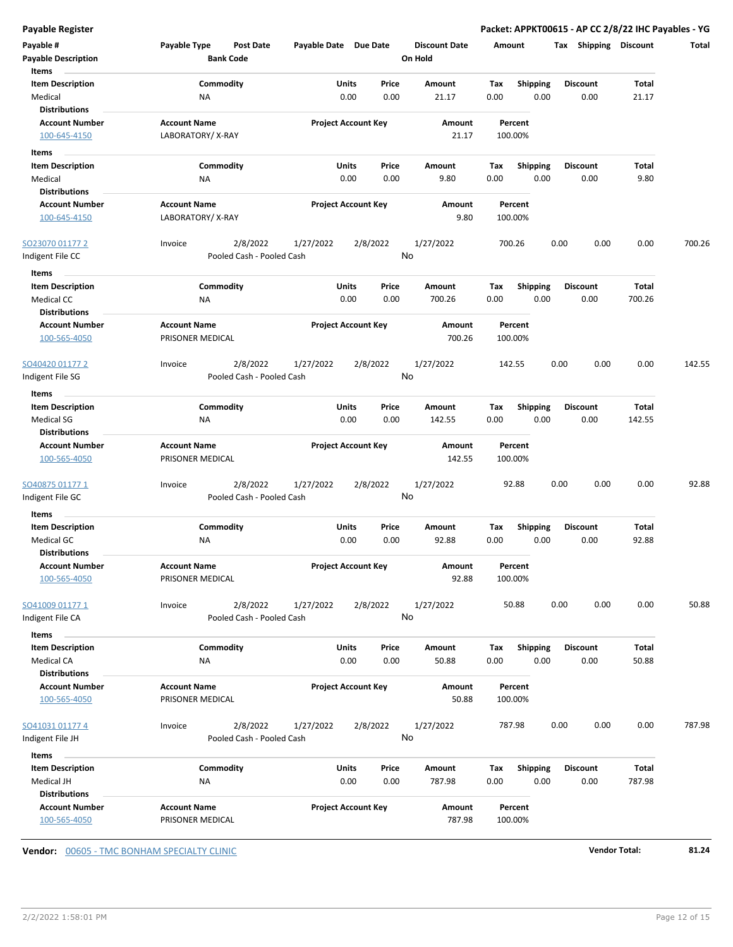| Payable #<br><b>Payable Description</b><br>Items                     | Payable Type<br><b>Post Date</b><br><b>Bank Code</b> | Payable Date Due Date |                                | <b>Discount Date</b><br>On Hold | Amount                                |                         | Tax Shipping Discount   |                 | <b>Total</b> |
|----------------------------------------------------------------------|------------------------------------------------------|-----------------------|--------------------------------|---------------------------------|---------------------------------------|-------------------------|-------------------------|-----------------|--------------|
| <b>Item Description</b><br>Medical<br><b>Distributions</b>           | Commodity<br>ΝA                                      | Units                 | Price<br>0.00<br>0.00          | Amount<br>21.17                 | Tax<br>0.00                           | <b>Shipping</b><br>0.00 | <b>Discount</b><br>0.00 | Total<br>21.17  |              |
| <b>Account Number</b><br>100-645-4150                                | <b>Account Name</b><br>LABORATORY/X-RAY              |                       | <b>Project Account Key</b>     |                                 | Amount<br>Percent<br>21.17<br>100.00% |                         |                         |                 |              |
| Items                                                                |                                                      |                       |                                |                                 |                                       |                         |                         |                 |              |
| <b>Item Description</b>                                              | Commodity                                            | <b>Units</b>          | Price                          | Amount                          | Tax                                   | <b>Shipping</b>         | <b>Discount</b>         | Total           |              |
| Medical                                                              | ΝA                                                   |                       | 0.00<br>0.00                   | 9.80                            | 0.00                                  | 0.00                    | 0.00                    | 9.80            |              |
| <b>Distributions</b><br><b>Account Number</b>                        | <b>Account Name</b>                                  |                       | <b>Project Account Key</b>     | Amount                          | Percent                               |                         |                         |                 |              |
| 100-645-4150                                                         | LABORATORY/X-RAY                                     |                       |                                | 9.80                            | 100.00%                               |                         |                         |                 |              |
| SO23070 01177 2                                                      | 2/8/2022<br>Invoice                                  | 1/27/2022             | 2/8/2022                       | 1/27/2022                       | 700.26                                |                         | 0.00<br>0.00            | 0.00            | 700.26       |
| Indigent File CC                                                     | Pooled Cash - Pooled Cash                            |                       |                                | No                              |                                       |                         |                         |                 |              |
| Items                                                                |                                                      |                       |                                |                                 |                                       |                         |                         |                 |              |
| <b>Item Description</b><br>Medical CC                                | Commodity<br>NA                                      | <b>Units</b>          | Price<br>0.00<br>0.00          | Amount<br>700.26                | Tax<br>0.00                           | <b>Shipping</b><br>0.00 | <b>Discount</b><br>0.00 | Total<br>700.26 |              |
| <b>Distributions</b><br><b>Account Number</b><br>100-565-4050        | <b>Account Name</b><br>PRISONER MEDICAL              |                       | <b>Project Account Key</b>     | Amount<br>700.26                | Percent<br>100.00%                    |                         |                         |                 |              |
| SO40420 01177 2                                                      | 2/8/2022<br>Invoice                                  | 1/27/2022             | 2/8/2022                       | 1/27/2022                       | 142.55                                |                         | 0.00<br>0.00            | 0.00            | 142.55       |
| Indigent File SG                                                     | Pooled Cash - Pooled Cash                            |                       |                                | No                              |                                       |                         |                         |                 |              |
| Items                                                                |                                                      |                       |                                |                                 |                                       |                         |                         |                 |              |
| <b>Item Description</b><br><b>Medical SG</b><br><b>Distributions</b> | Commodity<br>NA                                      | Units                 | Price<br>0.00<br>0.00          | Amount<br>142.55                | Tax<br>0.00                           | <b>Shipping</b><br>0.00 | <b>Discount</b><br>0.00 | Total<br>142.55 |              |
| <b>Account Number</b><br>100-565-4050                                | <b>Account Name</b><br>PRISONER MEDICAL              |                       | <b>Project Account Key</b>     | Amount<br>142.55                | Percent<br>100.00%                    |                         |                         |                 |              |
| <u>SO40875 01177 1</u><br>Indigent File GC                           | 2/8/2022<br>Invoice<br>Pooled Cash - Pooled Cash     | 1/27/2022             | 2/8/2022                       | 1/27/2022<br>No                 | 92.88                                 |                         | 0.00<br>0.00            | 0.00            | 92.88        |
| Items                                                                |                                                      |                       |                                |                                 |                                       |                         |                         |                 |              |
| <b>Item Description</b>                                              | Commodity                                            | <b>Units</b>          | Price                          | Amount                          | Tax                                   | <b>Shipping</b>         | <b>Discount</b>         | Total           |              |
| Medical GC<br><b>Distributions</b>                                   | NA                                                   |                       | 0.00<br>0.00                   | 92.88                           | 0.00                                  | 0.00                    | 0.00                    | 92.88           |              |
| <b>Account Number</b><br>100-565-4050                                | <b>Account Name</b><br>PRISONER MEDICAL              |                       | <b>Project Account Key</b>     | Amount<br>92.88                 | Percent<br>100.00%                    |                         |                         |                 |              |
| SO41009 01177 1<br>Indigent File CA                                  | 2/8/2022<br>Invoice<br>Pooled Cash - Pooled Cash     | 1/27/2022<br>No       | 50.88                          |                                 | 0.00<br>0.00                          | 0.00                    | 50.88                   |                 |              |
| Items                                                                |                                                      |                       |                                |                                 |                                       |                         |                         |                 |              |
| <b>Item Description</b><br>Medical CA<br><b>Distributions</b>        | Commodity<br>NA                                      | <b>Units</b>          | Price<br>0.00<br>0.00          | Amount<br>50.88                 | Tax<br>0.00                           | <b>Shipping</b><br>0.00 | <b>Discount</b><br>0.00 | Total<br>50.88  |              |
| <b>Account Number</b><br>100-565-4050                                | <b>Account Name</b><br>PRISONER MEDICAL              |                       | <b>Project Account Key</b>     | Amount<br>50.88                 | Percent<br>100.00%                    |                         |                         |                 |              |
| SO41031 01177 4<br>Indigent File JH                                  | Invoice<br>2/8/2022<br>Pooled Cash - Pooled Cash     | 1/27/2022             | 2/8/2022                       | 1/27/2022<br>No                 | 787.98                                |                         | 0.00<br>0.00            | 0.00            | 787.98       |
| Items                                                                |                                                      |                       |                                |                                 |                                       |                         |                         |                 |              |
| <b>Item Description</b><br>Medical JH<br><b>Distributions</b>        | Commodity<br>NA                                      |                       | Units<br>Price<br>0.00<br>0.00 | Amount<br>787.98                | Tax<br>0.00                           | Shipping<br>0.00        | <b>Discount</b><br>0.00 | Total<br>787.98 |              |
| <b>Account Number</b><br>100-565-4050                                | <b>Account Name</b><br>PRISONER MEDICAL              |                       | <b>Project Account Key</b>     | Amount<br>787.98                | Percent<br>100.00%                    |                         |                         |                 |              |

**Vendor:** 00605 - TMC BONHAM SPECIALTY CLINIC **Vendor Total: 81.24**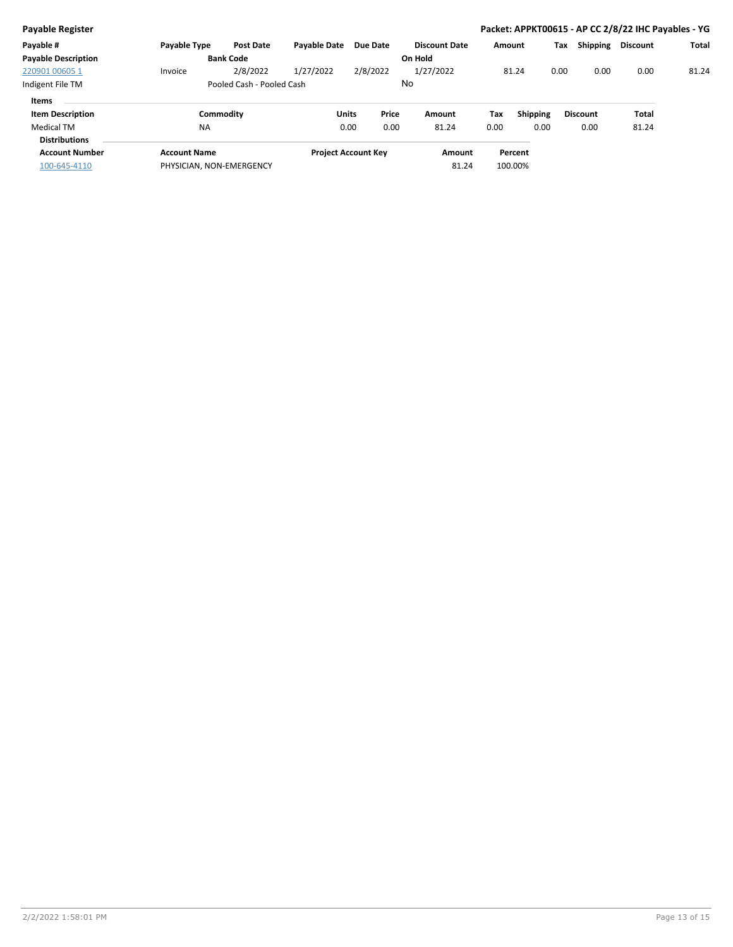| <b>Payable Register</b>    |                           |                  |                     |                            |       |                      |        |                 |      |                 | Packet: APPKT00615 - AP CC 2/8/22 IHC Payables - YG |              |
|----------------------------|---------------------------|------------------|---------------------|----------------------------|-------|----------------------|--------|-----------------|------|-----------------|-----------------------------------------------------|--------------|
| Payable #                  | Payable Type              | <b>Post Date</b> | <b>Pavable Date</b> | Due Date                   |       | <b>Discount Date</b> | Amount |                 | Tax  | Shipping        | <b>Discount</b>                                     | <b>Total</b> |
| <b>Payable Description</b> |                           | <b>Bank Code</b> |                     |                            |       | On Hold              |        |                 |      |                 |                                                     |              |
| 220901 00605 1             | Invoice                   | 2/8/2022         | 1/27/2022           | 2/8/2022                   |       | 1/27/2022            |        | 81.24           | 0.00 | 0.00            | 0.00                                                | 81.24        |
| Indigent File TM           | Pooled Cash - Pooled Cash |                  |                     | No                         |       |                      |        |                 |      |                 |                                                     |              |
| Items                      |                           |                  |                     |                            |       |                      |        |                 |      |                 |                                                     |              |
| <b>Item Description</b>    |                           | Commodity        |                     | <b>Units</b>               | Price | Amount               | Tax    | <b>Shipping</b> |      | <b>Discount</b> | Total                                               |              |
| Medical TM                 | <b>NA</b>                 |                  |                     | 0.00                       | 0.00  | 81.24                | 0.00   | 0.00            |      | 0.00            | 81.24                                               |              |
| <b>Distributions</b>       |                           |                  |                     |                            |       |                      |        |                 |      |                 |                                                     |              |
| <b>Account Number</b>      | <b>Account Name</b>       |                  |                     | <b>Project Account Key</b> |       | Amount               |        | Percent         |      |                 |                                                     |              |
| 100-645-4110               | PHYSICIAN, NON-EMERGENCY  |                  |                     |                            |       | 81.24                |        | 100.00%         |      |                 |                                                     |              |
|                            |                           |                  |                     |                            |       |                      |        |                 |      |                 |                                                     |              |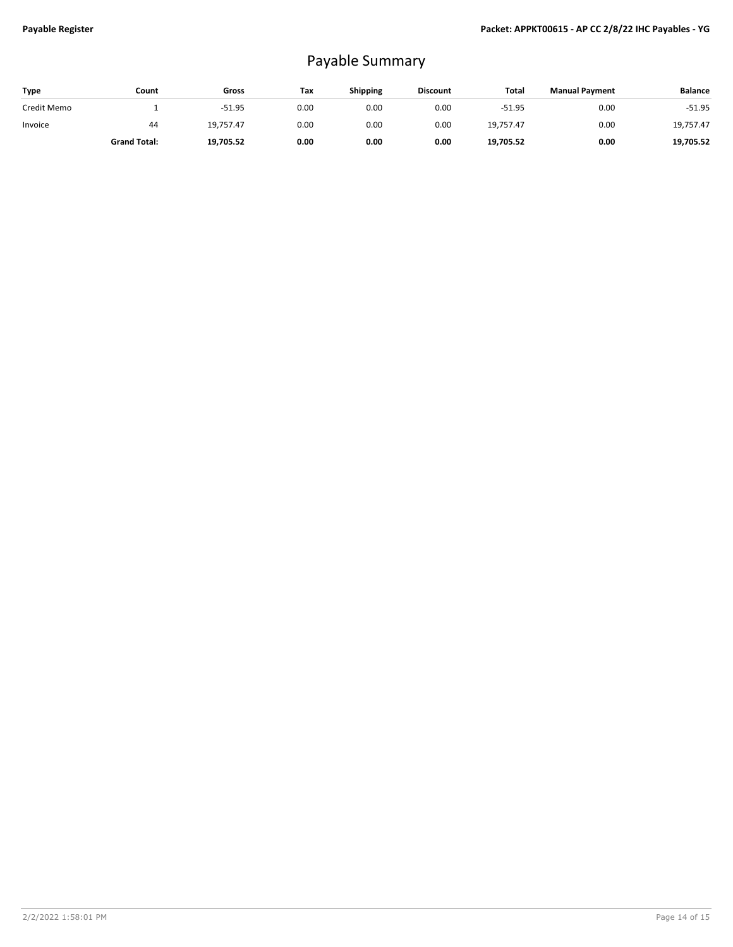## Payable Summary

| Type        | Count               | Gross     | Tax  | Shipping | <b>Discount</b> | Total     | <b>Manual Payment</b> | <b>Balance</b> |
|-------------|---------------------|-----------|------|----------|-----------------|-----------|-----------------------|----------------|
| Credit Memo |                     | $-51.95$  | 0.00 | 0.00     | 0.00            | $-51.95$  | 0.00                  | $-51.95$       |
| Invoice     | 44                  | 19.757.47 | 0.00 | 0.00     | 0.00            | 19.757.47 | 0.00                  | 19.757.47      |
|             | <b>Grand Total:</b> | 19,705.52 | 0.00 | 0.00     | 0.00            | 19,705.52 | 0.00                  | 19,705.52      |